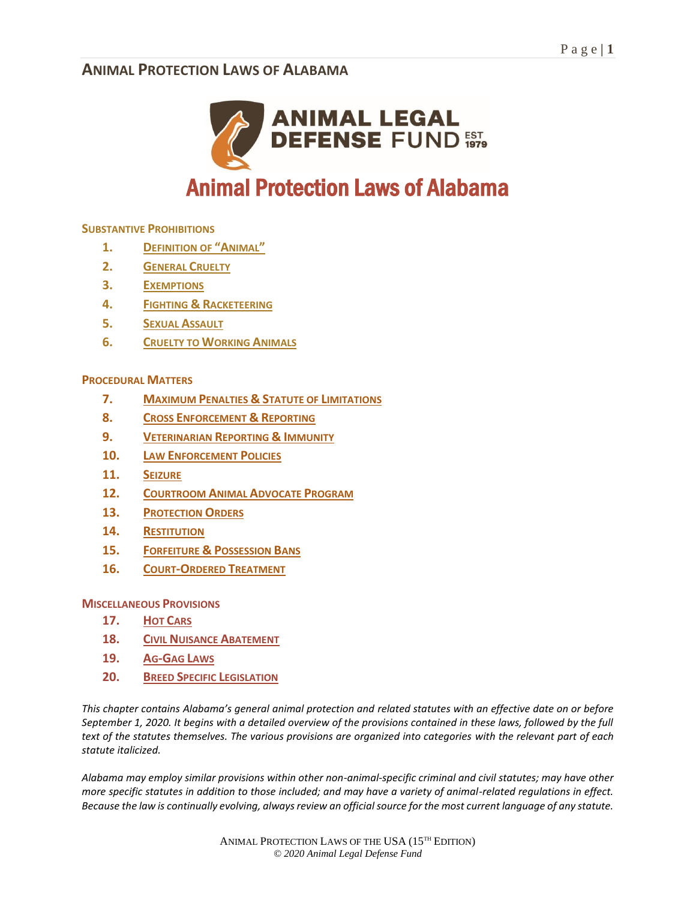

#### **SUBSTANTIVE PROHIBITIONS**

- **1. DEFINITION OF "ANIMAL"**
- **2. GENERAL CRUELTY**
- **3. EXEMPTIONS**
- **4. FIGHTING & RACKETEERING**
- **5. SEXUAL ASSAULT**
- **6. CRUELTY TO WORKING ANIMALS**

#### **PROCEDURAL MATTERS**

- **7. MAXIMUM PENALTIES & STATUTE OF LIMITATIONS**
- **8. CROSS ENFORCEMENT & REPORTING**
- **9. VETERINARIAN REPORTING & IMMUNITY**
- **10. LAW ENFORCEMENT POLICIES**
- **11. SEIZURE**
- **12. COURTROOM ANIMAL ADVOCATE PROGRAM**
- **13. PROTECTION ORDERS**
- **14. RESTITUTION**
- **15. FORFEITURE & POSSESSION BANS**
- **16. COURT-ORDERED TREATMENT**

#### **MISCELLANEOUS PROVISIONS**

- **17. HOT CARS**
- **18. CIVIL NUISANCE ABATEMENT**
- **19. AG-GAG LAWS**
- **20. BREED SPECIFIC LEGISLATION**

*This chapter contains Alabama's general animal protection and related statutes with an effective date on or before September 1, 2020. It begins with a detailed overview of the provisions contained in these laws, followed by the full text of the statutes themselves. The various provisions are organized into categories with the relevant part of each statute italicized.* 

*Alabama may employ similar provisions within other non-animal-specific criminal and civil statutes; may have other more specific statutes in addition to those included; and may have a variety of animal-related regulations in effect. Because the law is continually evolving, always review an official source for the most current language of any statute.*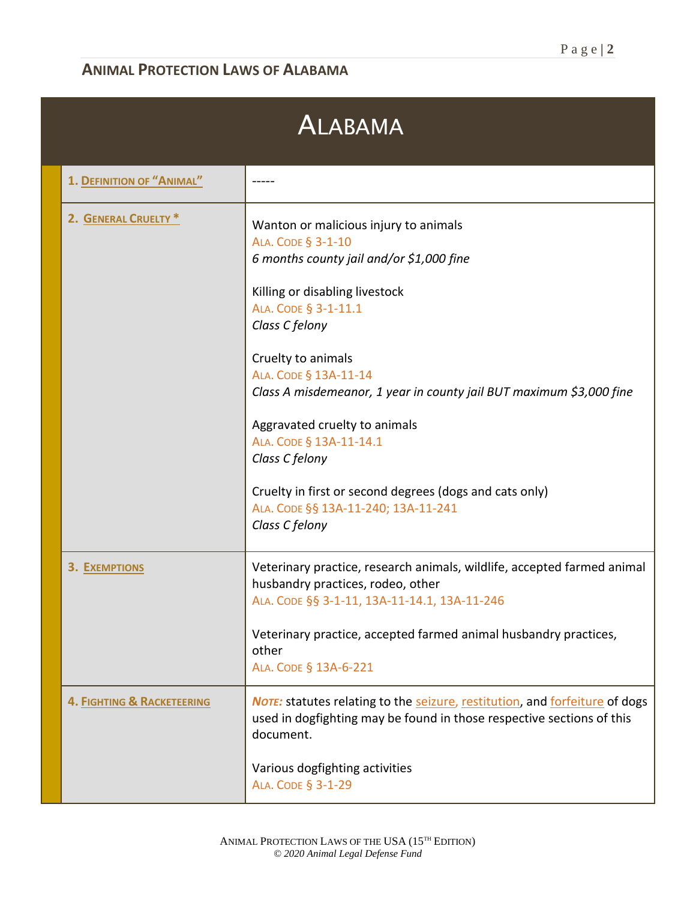| <b>ALABAMA</b>                        |                                                                                                                                                                                                                                                                                                                                                                                                                                                                                                             |  |  |
|---------------------------------------|-------------------------------------------------------------------------------------------------------------------------------------------------------------------------------------------------------------------------------------------------------------------------------------------------------------------------------------------------------------------------------------------------------------------------------------------------------------------------------------------------------------|--|--|
| 1. DEFINITION OF "ANIMAL"             |                                                                                                                                                                                                                                                                                                                                                                                                                                                                                                             |  |  |
| 2. GENERAL CRUELTY *                  | Wanton or malicious injury to animals<br>ALA. CODE § 3-1-10<br>6 months county jail and/or \$1,000 fine<br>Killing or disabling livestock<br>ALA. CODE § 3-1-11.1<br>Class C felony<br>Cruelty to animals<br>ALA. CODE § 13A-11-14<br>Class A misdemeanor, 1 year in county jail BUT maximum \$3,000 fine<br>Aggravated cruelty to animals<br>ALA. CODE § 13A-11-14.1<br>Class C felony<br>Cruelty in first or second degrees (dogs and cats only)<br>ALA. CODE §§ 13A-11-240; 13A-11-241<br>Class C felony |  |  |
| 3. EXEMPTIONS                         | Veterinary practice, research animals, wildlife, accepted farmed animal<br>husbandry practices, rodeo, other<br>ALA. CODE §§ 3-1-11, 13A-11-14.1, 13A-11-246<br>Veterinary practice, accepted farmed animal husbandry practices,<br>other<br>ALA. CODE § 13A-6-221                                                                                                                                                                                                                                          |  |  |
| <b>4. FIGHTING &amp; RACKETEERING</b> | <b>NOTE:</b> statutes relating to the seizure, restitution, and forfeiture of dogs<br>used in dogfighting may be found in those respective sections of this<br>document.<br>Various dogfighting activities<br>ALA. CODE § 3-1-29                                                                                                                                                                                                                                                                            |  |  |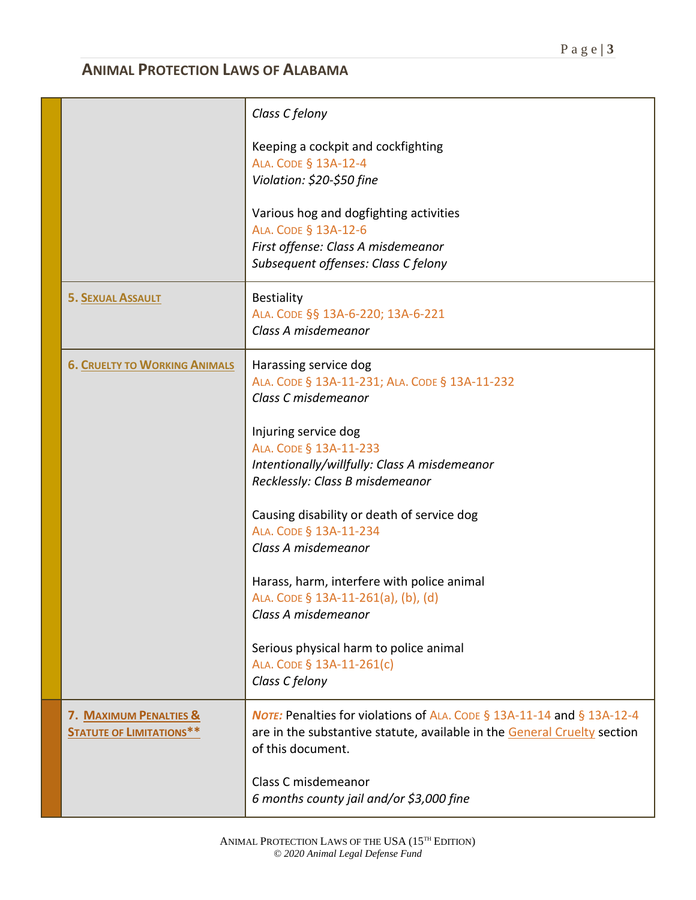|                                                           | Class C felony                                                                                                                                                                 |
|-----------------------------------------------------------|--------------------------------------------------------------------------------------------------------------------------------------------------------------------------------|
|                                                           | Keeping a cockpit and cockfighting<br>ALA. CODE § 13A-12-4<br>Violation: \$20-\$50 fine                                                                                        |
|                                                           | Various hog and dogfighting activities<br>ALA. CODE § 13A-12-6<br>First offense: Class A misdemeanor<br>Subsequent offenses: Class C felony                                    |
| <b>5. SEXUAL ASSAULT</b>                                  | <b>Bestiality</b><br>ALA. CODE §§ 13A-6-220; 13A-6-221<br>Class A misdemeanor                                                                                                  |
| <b>6. CRUELTY TO WORKING ANIMALS</b>                      | Harassing service dog<br>ALA. CODE § 13A-11-231; ALA. CODE § 13A-11-232<br>Class C misdemeanor                                                                                 |
|                                                           | Injuring service dog<br>ALA. CODE § 13A-11-233<br>Intentionally/willfully: Class A misdemeanor<br>Recklessly: Class B misdemeanor                                              |
|                                                           | Causing disability or death of service dog<br>ALA. CODE § 13A-11-234<br>Class A misdemeanor                                                                                    |
|                                                           | Harass, harm, interfere with police animal<br>ALA. CODE § 13A-11-261(a), (b), (d)<br>Class A misdemeanor                                                                       |
|                                                           | Serious physical harm to police animal<br>ALA. CODE § 13A-11-261(c)<br>Class C felony                                                                                          |
| 7. MAXIMUM PENALTIES &<br><b>STATUTE OF LIMITATIONS**</b> | <b>NOTE:</b> Penalties for violations of ALA. CODE § 13A-11-14 and § 13A-12-4<br>are in the substantive statute, available in the General Cruelty section<br>of this document. |
|                                                           | Class C misdemeanor<br>6 months county jail and/or \$3,000 fine                                                                                                                |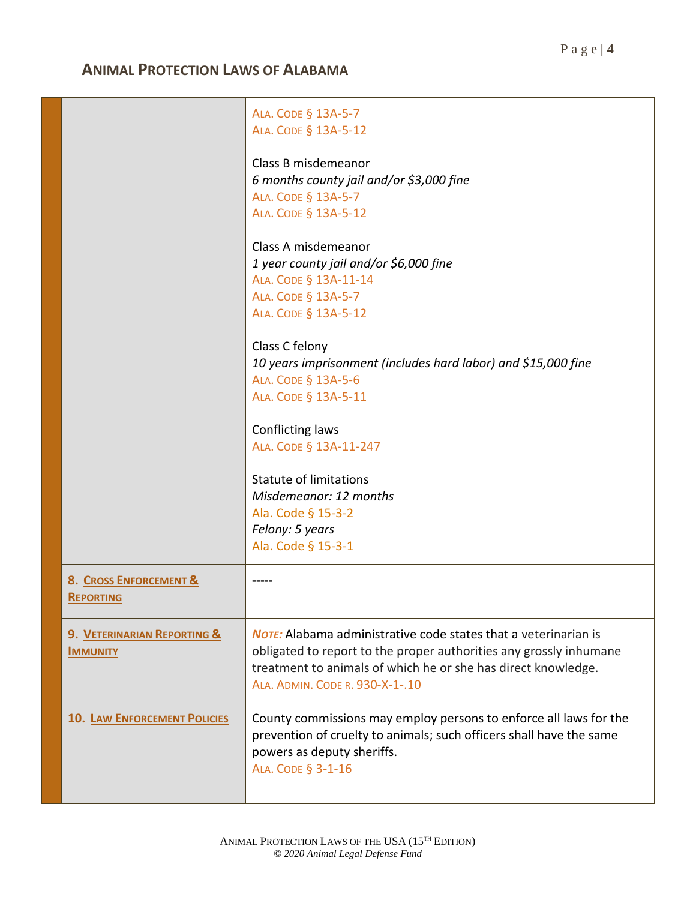|                                                | ALA. CODE § 13A-5-7<br>ALA. CODE § 13A-5-12                                                                                                                                                                                                      |
|------------------------------------------------|--------------------------------------------------------------------------------------------------------------------------------------------------------------------------------------------------------------------------------------------------|
|                                                | Class B misdemeanor<br>6 months county jail and/or \$3,000 fine<br>ALA. CODE § 13A-5-7<br>ALA. CODE § 13A-5-12                                                                                                                                   |
|                                                | Class A misdemeanor<br>1 year county jail and/or \$6,000 fine<br>ALA. CODE § 13A-11-14<br>ALA. CODE § 13A-5-7<br>ALA. CODE § 13A-5-12                                                                                                            |
|                                                | Class C felony<br>10 years imprisonment (includes hard labor) and \$15,000 fine<br>ALA. CODE § 13A-5-6<br>ALA. CODE § 13A-5-11                                                                                                                   |
|                                                | Conflicting laws<br>ALA. CODE § 13A-11-247                                                                                                                                                                                                       |
|                                                | <b>Statute of limitations</b><br>Misdemeanor: 12 months<br>Ala. Code § 15-3-2<br>Felony: 5 years<br>Ala. Code § 15-3-1                                                                                                                           |
| 8. CROSS ENFORCEMENT &<br><b>REPORTING</b>     |                                                                                                                                                                                                                                                  |
| 9. VETERINARIAN REPORTING &<br><b>IMMUNITY</b> | <b>NOTE:</b> Alabama administrative code states that a veterinarian is<br>obligated to report to the proper authorities any grossly inhumane<br>treatment to animals of which he or she has direct knowledge.<br>ALA. ADMIN. CODE R. 930-X-1-.10 |
| <b>10. LAW ENFORCEMENT POLICIES</b>            | County commissions may employ persons to enforce all laws for the<br>prevention of cruelty to animals; such officers shall have the same<br>powers as deputy sheriffs.<br>ALA. CODE § 3-1-16                                                     |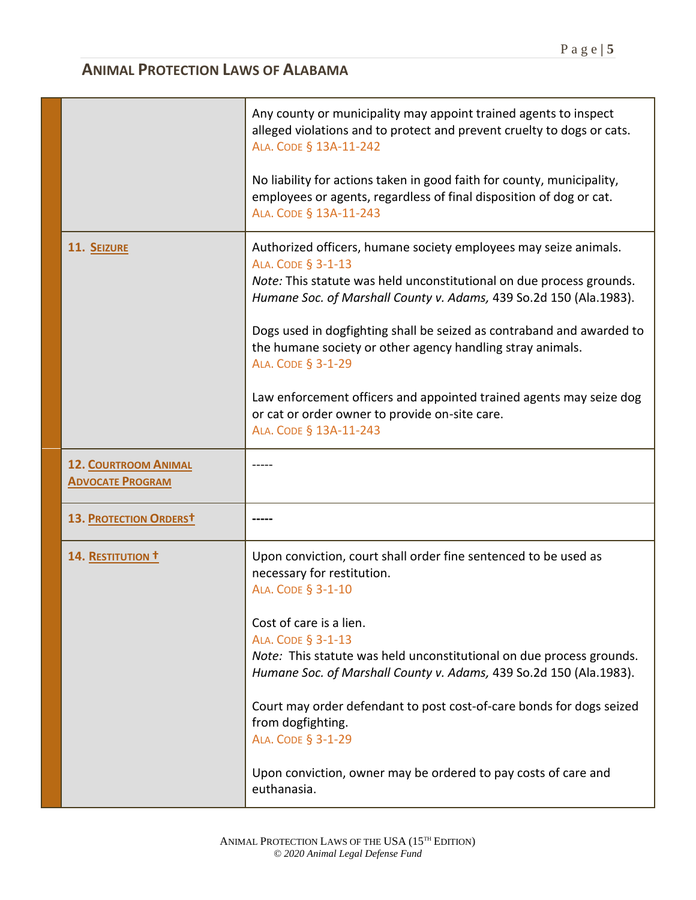|                                                        | Any county or municipality may appoint trained agents to inspect<br>alleged violations and to protect and prevent cruelty to dogs or cats.<br>ALA. CODE § 13A-11-242                                                                 |
|--------------------------------------------------------|--------------------------------------------------------------------------------------------------------------------------------------------------------------------------------------------------------------------------------------|
|                                                        | No liability for actions taken in good faith for county, municipality,<br>employees or agents, regardless of final disposition of dog or cat.<br>ALA. CODE § 13A-11-243                                                              |
| 11. SEIZURE                                            | Authorized officers, humane society employees may seize animals.<br>ALA. CODE § 3-1-13<br>Note: This statute was held unconstitutional on due process grounds.<br>Humane Soc. of Marshall County v. Adams, 439 So.2d 150 (Ala.1983). |
|                                                        | Dogs used in dogfighting shall be seized as contraband and awarded to<br>the humane society or other agency handling stray animals.<br>ALA. CODE § 3-1-29                                                                            |
|                                                        | Law enforcement officers and appointed trained agents may seize dog<br>or cat or order owner to provide on-site care.<br>ALA. CODE § 13A-11-243                                                                                      |
|                                                        |                                                                                                                                                                                                                                      |
| <b>12. COURTROOM ANIMAL</b><br><b>ADVOCATE PROGRAM</b> |                                                                                                                                                                                                                                      |
| 13. PROTECTION ORDERST                                 |                                                                                                                                                                                                                                      |
| 14. RESTITUTION +                                      | Upon conviction, court shall order fine sentenced to be used as<br>necessary for restitution.<br>ALA. CODE § 3-1-10                                                                                                                  |
|                                                        | Cost of care is a lien.                                                                                                                                                                                                              |
|                                                        | ALA. CODE § 3-1-13<br>Note: This statute was held unconstitutional on due process grounds.<br>Humane Soc. of Marshall County v. Adams, 439 So.2d 150 (Ala.1983).                                                                     |
|                                                        | Court may order defendant to post cost-of-care bonds for dogs seized<br>from dogfighting.<br>ALA. CODE § 3-1-29                                                                                                                      |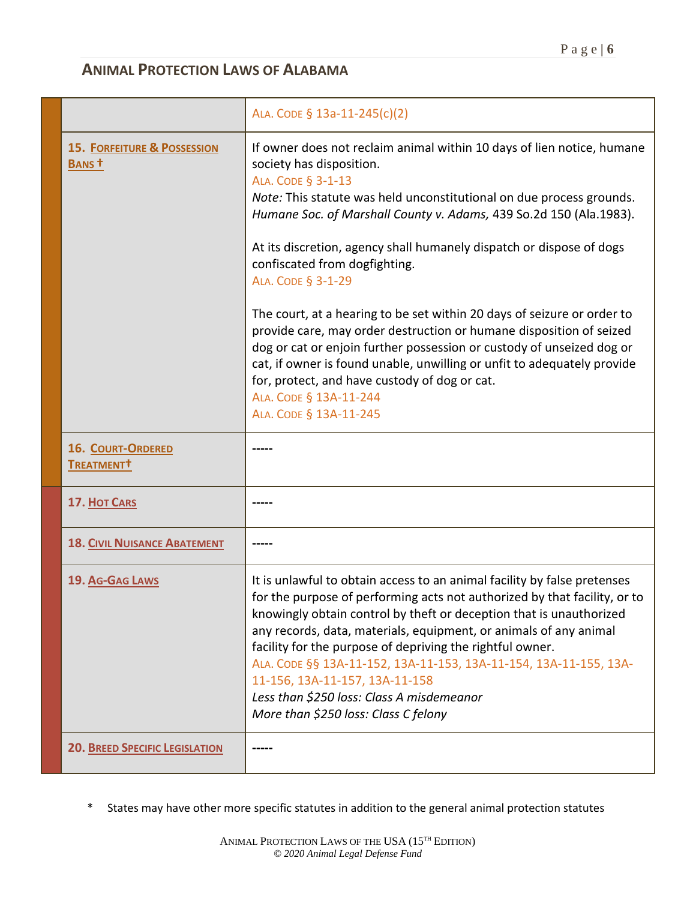|                                                  | ALA. CODE § 13a-11-245(c)(2)                                                                                                                                                                                                                                                                                                                                                                                                                                                                                                                                                                                                                                                                                                                                                                                     |
|--------------------------------------------------|------------------------------------------------------------------------------------------------------------------------------------------------------------------------------------------------------------------------------------------------------------------------------------------------------------------------------------------------------------------------------------------------------------------------------------------------------------------------------------------------------------------------------------------------------------------------------------------------------------------------------------------------------------------------------------------------------------------------------------------------------------------------------------------------------------------|
| <b>15. FORFEITURE &amp; POSSESSION</b><br>BANS T | If owner does not reclaim animal within 10 days of lien notice, humane<br>society has disposition.<br>ALA. CODE § 3-1-13<br>Note: This statute was held unconstitutional on due process grounds.<br>Humane Soc. of Marshall County v. Adams, 439 So.2d 150 (Ala.1983).<br>At its discretion, agency shall humanely dispatch or dispose of dogs<br>confiscated from dogfighting.<br>ALA. CODE § 3-1-29<br>The court, at a hearing to be set within 20 days of seizure or order to<br>provide care, may order destruction or humane disposition of seized<br>dog or cat or enjoin further possession or custody of unseized dog or<br>cat, if owner is found unable, unwilling or unfit to adequately provide<br>for, protect, and have custody of dog or cat.<br>ALA. CODE § 13A-11-244<br>ALA. CODE § 13A-11-245 |
| 16. COURT-ORDERED<br>TREATMENT <sup>†</sup>      |                                                                                                                                                                                                                                                                                                                                                                                                                                                                                                                                                                                                                                                                                                                                                                                                                  |
| 17. HOT CARS                                     |                                                                                                                                                                                                                                                                                                                                                                                                                                                                                                                                                                                                                                                                                                                                                                                                                  |
| <b>18. CIVIL NUISANCE ABATEMENT</b>              |                                                                                                                                                                                                                                                                                                                                                                                                                                                                                                                                                                                                                                                                                                                                                                                                                  |
| 19. AG-GAG LAWS                                  | It is unlawful to obtain access to an animal facility by false pretenses                                                                                                                                                                                                                                                                                                                                                                                                                                                                                                                                                                                                                                                                                                                                         |
|                                                  | for the purpose of performing acts not authorized by that facility, or to<br>knowingly obtain control by theft or deception that is unauthorized<br>any records, data, materials, equipment, or animals of any animal<br>facility for the purpose of depriving the rightful owner.<br>ALA. CODE §§ 13A-11-152, 13A-11-153, 13A-11-154, 13A-11-155, 13A-<br>11-156, 13A-11-157, 13A-11-158<br>Less than \$250 loss: Class A misdemeanor<br>More than \$250 loss: Class C felony                                                                                                                                                                                                                                                                                                                                   |

\* States may have other more specific statutes in addition to the general animal protection statutes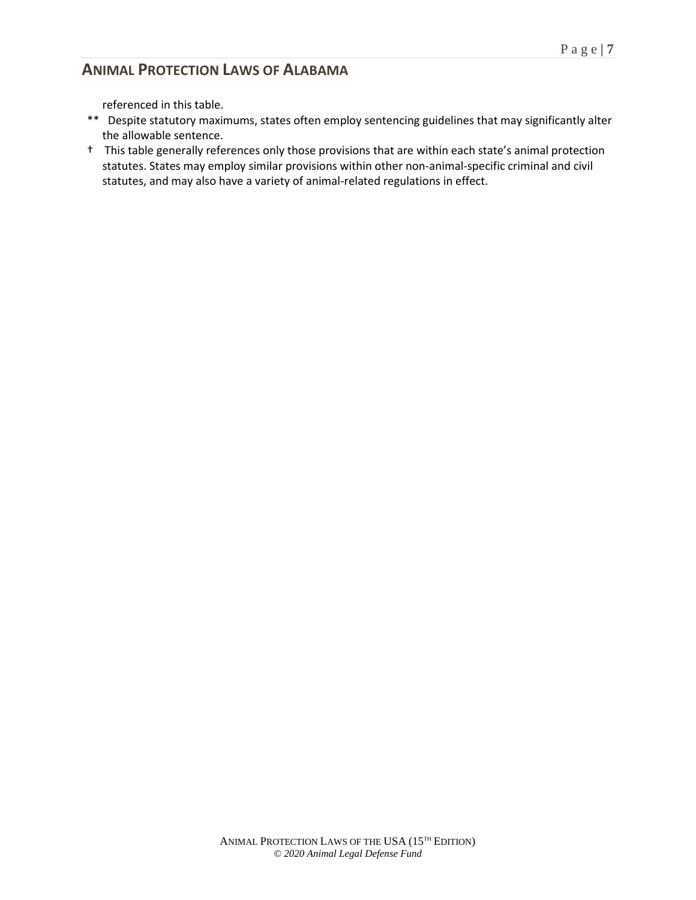referenced in this table.

- \*\* Despite statutory maximums, states often employ sentencing guidelines that may significantly alter the allowable sentence.
- † This table generally references only those provisions that are within each state's animal protection statutes. States may employ similar provisions within other non-animal-specific criminal and civil statutes, and may also have a variety of animal-related regulations in effect.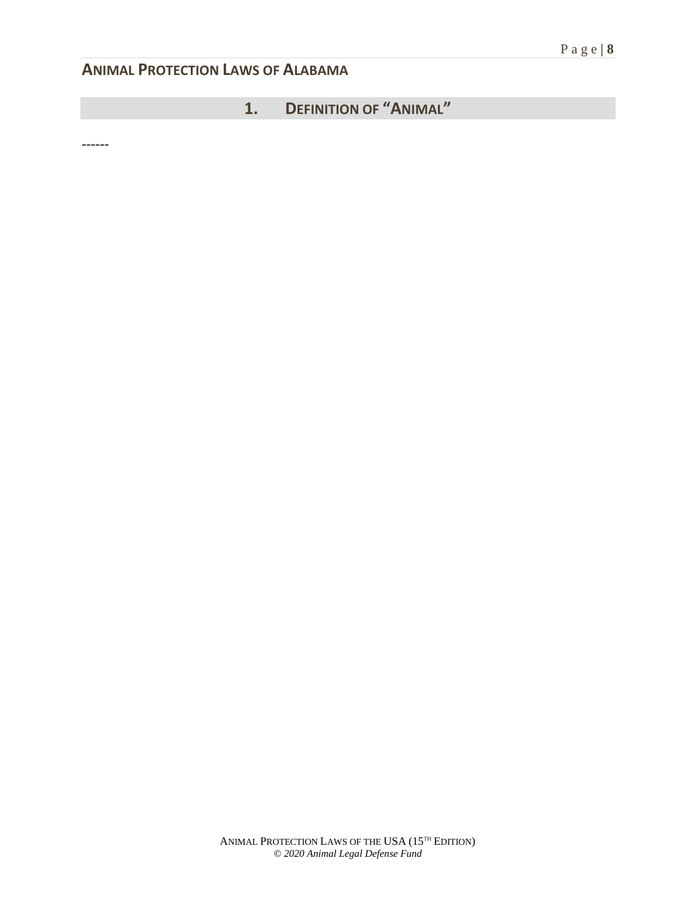# **1. DEFINITION OF "ANIMAL"**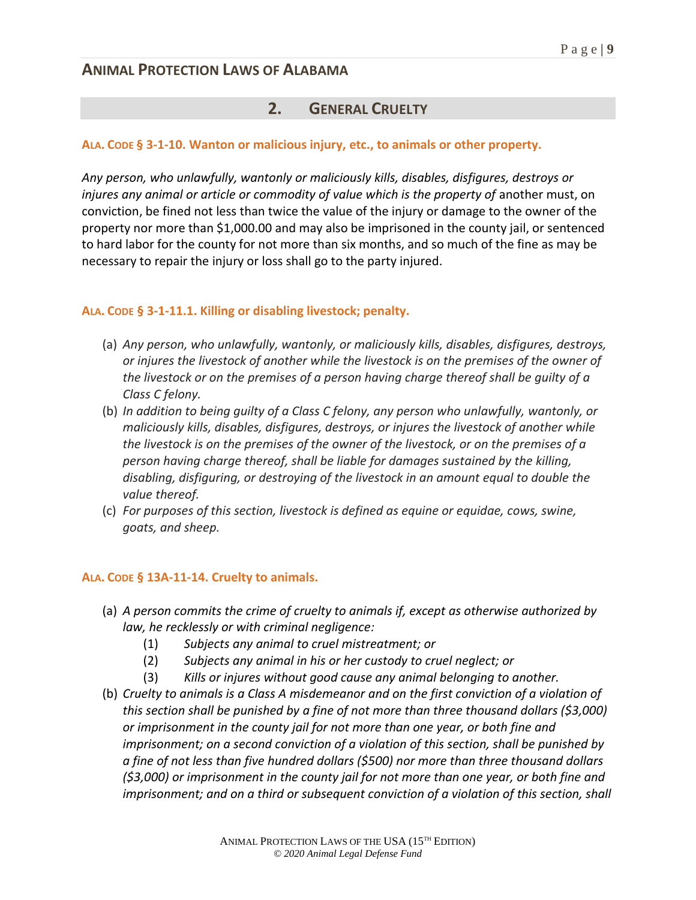### **2. GENERAL CRUELTY**

#### **ALA. CODE § 3-1-10. Wanton or malicious injury, etc., to animals or other property.**

*Any person, who unlawfully, wantonly or maliciously kills, disables, disfigures, destroys or injures any animal or article or commodity of value which is the property of another must, on* conviction, be fined not less than twice the value of the injury or damage to the owner of the property nor more than \$1,000.00 and may also be imprisoned in the county jail, or sentenced to hard labor for the county for not more than six months, and so much of the fine as may be necessary to repair the injury or loss shall go to the party injured.

#### **ALA. CODE § 3-1-11.1. Killing or disabling livestock; penalty.**

- (a) *Any person, who unlawfully, wantonly, or maliciously kills, disables, disfigures, destroys, or injures the livestock of another while the livestock is on the premises of the owner of the livestock or on the premises of a person having charge thereof shall be guilty of a Class C felony.*
- (b) *In addition to being guilty of a Class C felony, any person who unlawfully, wantonly, or maliciously kills, disables, disfigures, destroys, or injures the livestock of another while the livestock is on the premises of the owner of the livestock, or on the premises of a person having charge thereof, shall be liable for damages sustained by the killing, disabling, disfiguring, or destroying of the livestock in an amount equal to double the value thereof.*
- (c) *For purposes of this section, livestock is defined as equine or equidae, cows, swine, goats, and sheep.*

#### **ALA. CODE § 13A-11-14. Cruelty to animals.**

- (a) *A person commits the crime of cruelty to animals if, except as otherwise authorized by law, he recklessly or with criminal negligence:*
	- (1) *Subjects any animal to cruel mistreatment; or*
	- (2) *Subjects any animal in his or her custody to cruel neglect; or*
	- (3) *Kills or injures without good cause any animal belonging to another.*
- (b) *Cruelty to animals is a Class A misdemeanor and on the first conviction of a violation of this section shall be punished by a fine of not more than three thousand dollars (\$3,000) or imprisonment in the county jail for not more than one year, or both fine and imprisonment; on a second conviction of a violation of this section, shall be punished by a fine of not less than five hundred dollars (\$500) nor more than three thousand dollars (\$3,000) or imprisonment in the county jail for not more than one year, or both fine and imprisonment; and on a third or subsequent conviction of a violation of this section, shall*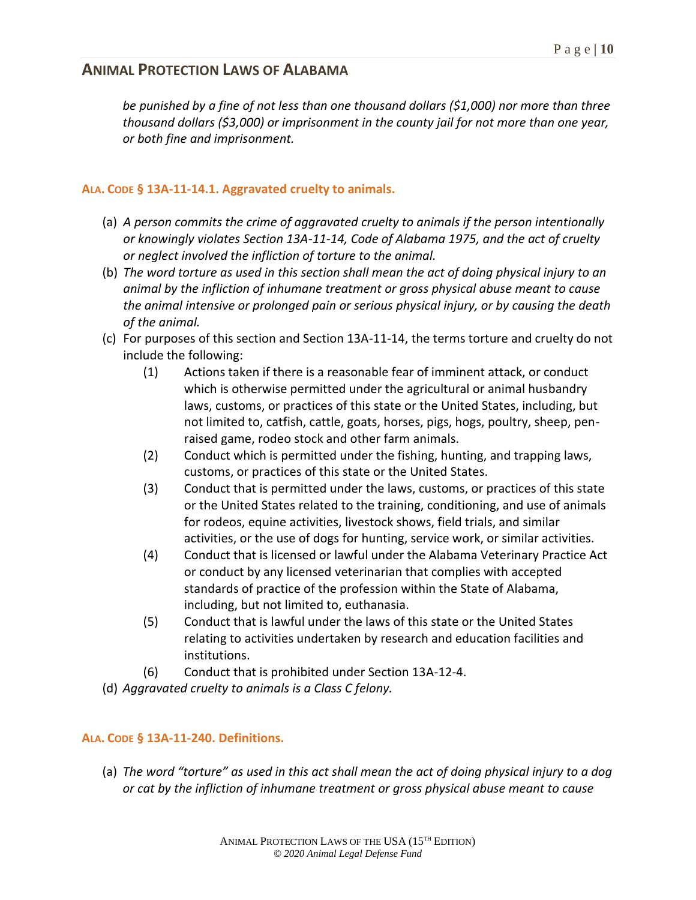*be punished by a fine of not less than one thousand dollars (\$1,000) nor more than three thousand dollars (\$3,000) or imprisonment in the county jail for not more than one year, or both fine and imprisonment.*

#### **ALA. CODE § 13A-11-14.1. Aggravated cruelty to animals.**

- (a) *A person commits the crime of aggravated cruelty to animals if the person intentionally or knowingly violates Section 13A-11-14, Code of Alabama 1975, and the act of cruelty or neglect involved the infliction of torture to the animal.*
- (b) *The word torture as used in this section shall mean the act of doing physical injury to an animal by the infliction of inhumane treatment or gross physical abuse meant to cause the animal intensive or prolonged pain or serious physical injury, or by causing the death of the animal.*
- (c) For purposes of this section and Section 13A-11-14, the terms torture and cruelty do not include the following:
	- (1) Actions taken if there is a reasonable fear of imminent attack, or conduct which is otherwise permitted under the agricultural or animal husbandry laws, customs, or practices of this state or the United States, including, but not limited to, catfish, cattle, goats, horses, pigs, hogs, poultry, sheep, penraised game, rodeo stock and other farm animals.
	- (2) Conduct which is permitted under the fishing, hunting, and trapping laws, customs, or practices of this state or the United States.
	- (3) Conduct that is permitted under the laws, customs, or practices of this state or the United States related to the training, conditioning, and use of animals for rodeos, equine activities, livestock shows, field trials, and similar activities, or the use of dogs for hunting, service work, or similar activities.
	- (4) Conduct that is licensed or lawful under the Alabama Veterinary Practice Act or conduct by any licensed veterinarian that complies with accepted standards of practice of the profession within the State of Alabama, including, but not limited to, euthanasia.
	- (5) Conduct that is lawful under the laws of this state or the United States relating to activities undertaken by research and education facilities and institutions.
	- (6) Conduct that is prohibited under Section 13A-12-4.
- (d) *Aggravated cruelty to animals is a Class C felony.*

#### **ALA. CODE § 13A-11-240. Definitions.**

(a) *The word "torture" as used in this act shall mean the act of doing physical injury to a dog or cat by the infliction of inhumane treatment or gross physical abuse meant to cause*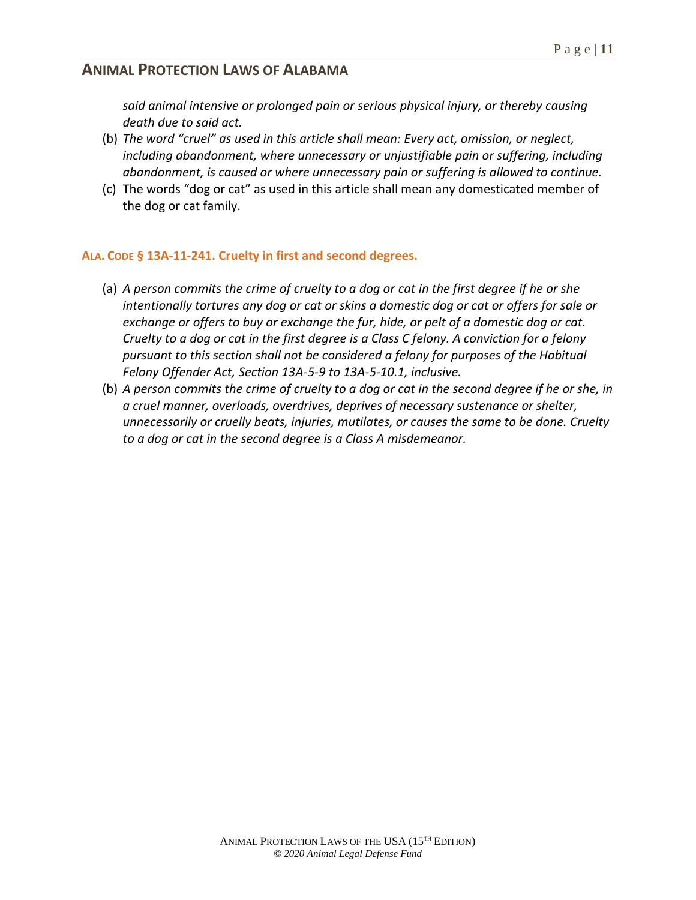*said animal intensive or prolonged pain or serious physical injury, or thereby causing death due to said act.*

- (b) *The word "cruel" as used in this article shall mean: Every act, omission, or neglect, including abandonment, where unnecessary or unjustifiable pain or suffering, including abandonment, is caused or where unnecessary pain or suffering is allowed to continue.*
- (c) The words "dog or cat" as used in this article shall mean any domesticated member of the dog or cat family.

#### **ALA. CODE § 13A-11-241. Cruelty in first and second degrees.**

- (a) *A person commits the crime of cruelty to a dog or cat in the first degree if he or she intentionally tortures any dog or cat or skins a domestic dog or cat or offers for sale or exchange or offers to buy or exchange the fur, hide, or pelt of a domestic dog or cat. Cruelty to a dog or cat in the first degree is a Class C felony. A conviction for a felony pursuant to this section shall not be considered a felony for purposes of the Habitual Felony Offender Act, Section 13A-5-9 to 13A-5-10.1, inclusive.*
- (b) *A person commits the crime of cruelty to a dog or cat in the second degree if he or she, in a cruel manner, overloads, overdrives, deprives of necessary sustenance or shelter, unnecessarily or cruelly beats, injuries, mutilates, or causes the same to be done. Cruelty to a dog or cat in the second degree is a Class A misdemeanor.*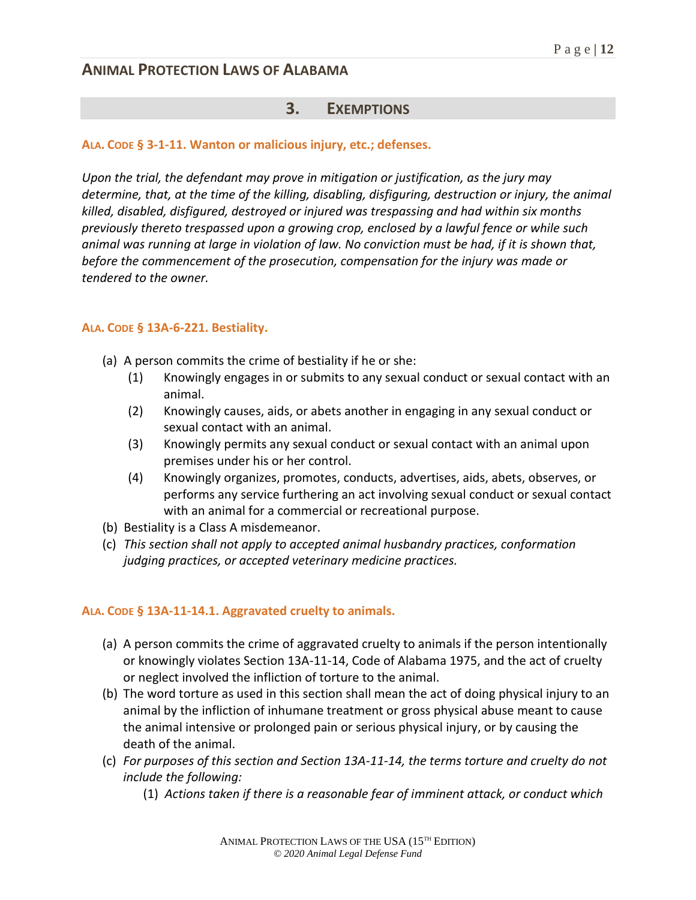## **3. EXEMPTIONS**

#### **ALA. CODE § 3-1-11. Wanton or malicious injury, etc.; defenses.**

*Upon the trial, the defendant may prove in mitigation or justification, as the jury may determine, that, at the time of the killing, disabling, disfiguring, destruction or injury, the animal killed, disabled, disfigured, destroyed or injured was trespassing and had within six months previously thereto trespassed upon a growing crop, enclosed by a lawful fence or while such animal was running at large in violation of law. No conviction must be had, if it is shown that, before the commencement of the prosecution, compensation for the injury was made or tendered to the owner.*

#### **ALA. CODE § 13A-6-221. Bestiality.**

- (a) A person commits the crime of bestiality if he or she:
	- (1) Knowingly engages in or submits to any sexual conduct or sexual contact with an animal.
	- (2) Knowingly causes, aids, or abets another in engaging in any sexual conduct or sexual contact with an animal.
	- (3) Knowingly permits any sexual conduct or sexual contact with an animal upon premises under his or her control.
	- (4) Knowingly organizes, promotes, conducts, advertises, aids, abets, observes, or performs any service furthering an act involving sexual conduct or sexual contact with an animal for a commercial or recreational purpose.
- (b) Bestiality is a Class A misdemeanor.
- (c) *This section shall not apply to accepted animal husbandry practices, conformation judging practices, or accepted veterinary medicine practices.*

#### **ALA. CODE § 13A-11-14.1. Aggravated cruelty to animals.**

- (a) A person commits the crime of aggravated cruelty to animals if the person intentionally or knowingly violates Section 13A-11-14, Code of Alabama 1975, and the act of cruelty or neglect involved the infliction of torture to the animal.
- (b) The word torture as used in this section shall mean the act of doing physical injury to an animal by the infliction of inhumane treatment or gross physical abuse meant to cause the animal intensive or prolonged pain or serious physical injury, or by causing the death of the animal.
- (c) *For purposes of this section and Section 13A-11-14, the terms torture and cruelty do not include the following:*
	- (1) *Actions taken if there is a reasonable fear of imminent attack, or conduct which*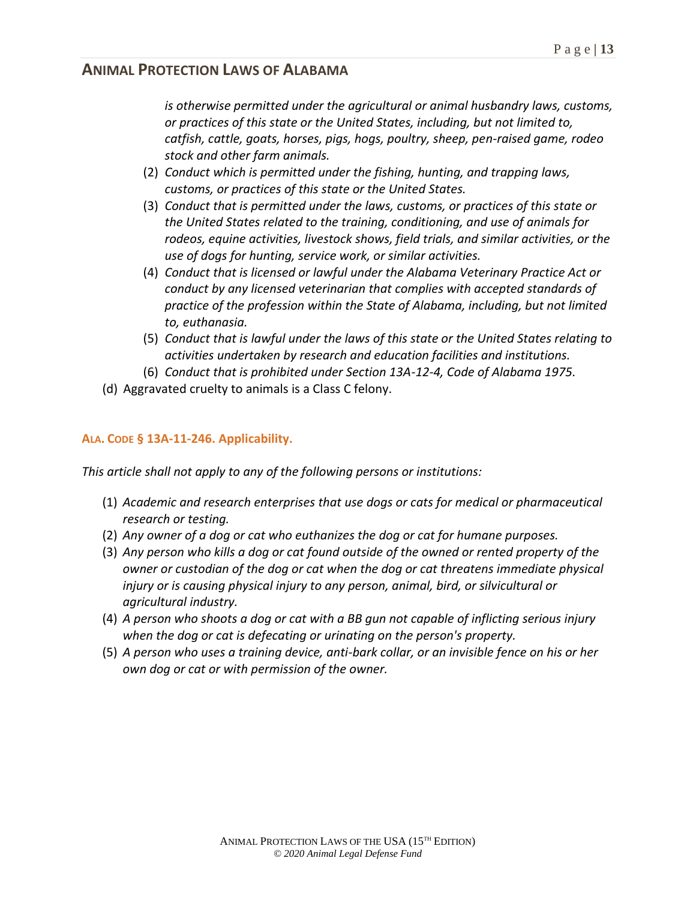*is otherwise permitted under the agricultural or animal husbandry laws, customs, or practices of this state or the United States, including, but not limited to, catfish, cattle, goats, horses, pigs, hogs, poultry, sheep, pen-raised game, rodeo stock and other farm animals.*

- (2) *Conduct which is permitted under the fishing, hunting, and trapping laws, customs, or practices of this state or the United States.*
- (3) *Conduct that is permitted under the laws, customs, or practices of this state or the United States related to the training, conditioning, and use of animals for rodeos, equine activities, livestock shows, field trials, and similar activities, or the use of dogs for hunting, service work, or similar activities.*
- (4) *Conduct that is licensed or lawful under the Alabama Veterinary Practice Act or conduct by any licensed veterinarian that complies with accepted standards of practice of the profession within the State of Alabama, including, but not limited to, euthanasia.*
- (5) *Conduct that is lawful under the laws of this state or the United States relating to activities undertaken by research and education facilities and institutions.*
- (6) *Conduct that is prohibited under Section 13A-12-4, Code of Alabama 1975.*
- (d) Aggravated cruelty to animals is a Class C felony.

#### **ALA. CODE § 13A-11-246. Applicability.**

*This article shall not apply to any of the following persons or institutions:*

- (1) *Academic and research enterprises that use dogs or cats for medical or pharmaceutical research or testing.*
- (2) *Any owner of a dog or cat who euthanizes the dog or cat for humane purposes.*
- (3) *Any person who kills a dog or cat found outside of the owned or rented property of the owner or custodian of the dog or cat when the dog or cat threatens immediate physical injury or is causing physical injury to any person, animal, bird, or silvicultural or agricultural industry.*
- (4) *A person who shoots a dog or cat with a BB gun not capable of inflicting serious injury when the dog or cat is defecating or urinating on the person's property.*
- (5) *A person who uses a training device, anti-bark collar, or an invisible fence on his or her own dog or cat or with permission of the owner.*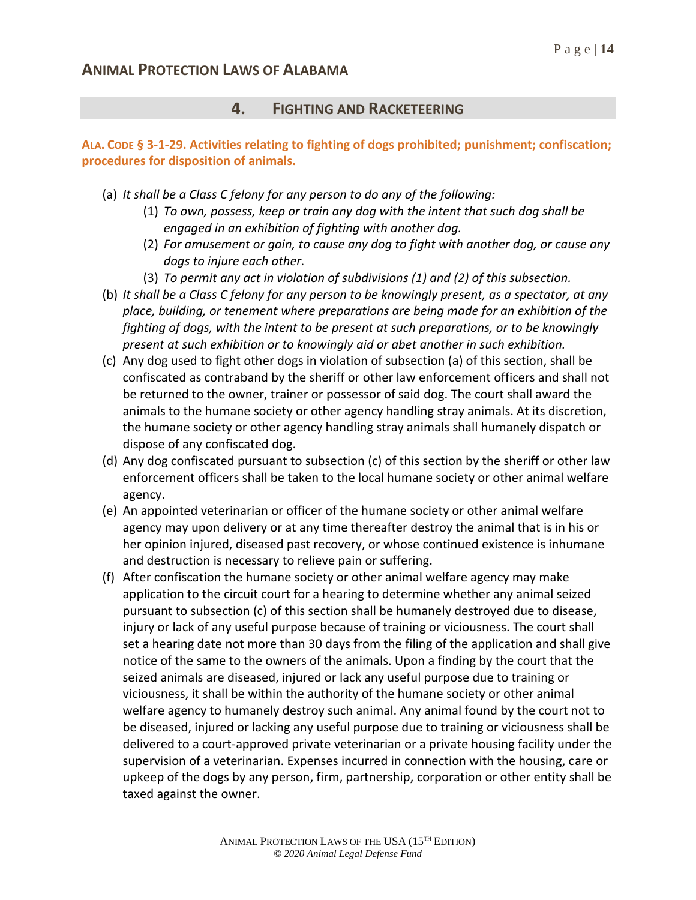### **4. FIGHTING AND RACKETEERING**

#### **ALA. CODE § 3-1-29. Activities relating to fighting of dogs prohibited; punishment; confiscation; procedures for disposition of animals.**

- (a) *It shall be a Class C felony for any person to do any of the following:*
	- (1) *To own, possess, keep or train any dog with the intent that such dog shall be engaged in an exhibition of fighting with another dog.*
	- (2) *For amusement or gain, to cause any dog to fight with another dog, or cause any dogs to injure each other.*
	- (3) *To permit any act in violation of subdivisions (1) and (2) of this subsection.*
- (b) *It shall be a Class C felony for any person to be knowingly present, as a spectator, at any place, building, or tenement where preparations are being made for an exhibition of the fighting of dogs, with the intent to be present at such preparations, or to be knowingly present at such exhibition or to knowingly aid or abet another in such exhibition.*
- (c) Any dog used to fight other dogs in violation of subsection (a) of this section, shall be confiscated as contraband by the sheriff or other law enforcement officers and shall not be returned to the owner, trainer or possessor of said dog. The court shall award the animals to the humane society or other agency handling stray animals. At its discretion, the humane society or other agency handling stray animals shall humanely dispatch or dispose of any confiscated dog.
- (d) Any dog confiscated pursuant to subsection (c) of this section by the sheriff or other law enforcement officers shall be taken to the local humane society or other animal welfare agency.
- (e) An appointed veterinarian or officer of the humane society or other animal welfare agency may upon delivery or at any time thereafter destroy the animal that is in his or her opinion injured, diseased past recovery, or whose continued existence is inhumane and destruction is necessary to relieve pain or suffering.
- (f) After confiscation the humane society or other animal welfare agency may make application to the circuit court for a hearing to determine whether any animal seized pursuant to subsection (c) of this section shall be humanely destroyed due to disease, injury or lack of any useful purpose because of training or viciousness. The court shall set a hearing date not more than 30 days from the filing of the application and shall give notice of the same to the owners of the animals. Upon a finding by the court that the seized animals are diseased, injured or lack any useful purpose due to training or viciousness, it shall be within the authority of the humane society or other animal welfare agency to humanely destroy such animal. Any animal found by the court not to be diseased, injured or lacking any useful purpose due to training or viciousness shall be delivered to a court-approved private veterinarian or a private housing facility under the supervision of a veterinarian. Expenses incurred in connection with the housing, care or upkeep of the dogs by any person, firm, partnership, corporation or other entity shall be taxed against the owner.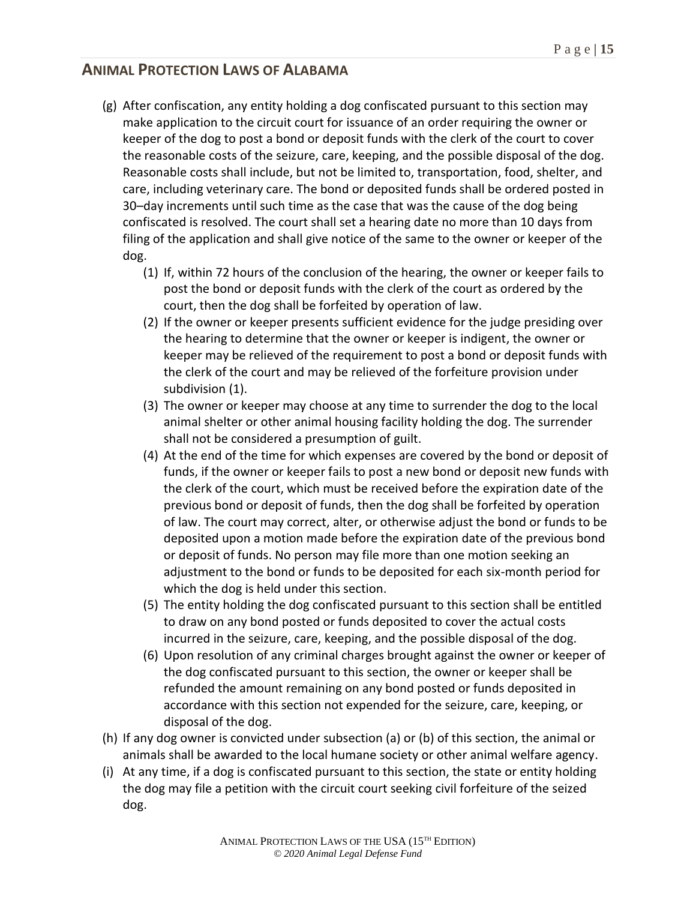- (g) After confiscation, any entity holding a dog confiscated pursuant to this section may make application to the circuit court for issuance of an order requiring the owner or keeper of the dog to post a bond or deposit funds with the clerk of the court to cover the reasonable costs of the seizure, care, keeping, and the possible disposal of the dog. Reasonable costs shall include, but not be limited to, transportation, food, shelter, and care, including veterinary care. The bond or deposited funds shall be ordered posted in 30–day increments until such time as the case that was the cause of the dog being confiscated is resolved. The court shall set a hearing date no more than 10 days from filing of the application and shall give notice of the same to the owner or keeper of the dog.
	- (1) If, within 72 hours of the conclusion of the hearing, the owner or keeper fails to post the bond or deposit funds with the clerk of the court as ordered by the court, then the dog shall be forfeited by operation of law.
	- (2) If the owner or keeper presents sufficient evidence for the judge presiding over the hearing to determine that the owner or keeper is indigent, the owner or keeper may be relieved of the requirement to post a bond or deposit funds with the clerk of the court and may be relieved of the forfeiture provision under subdivision (1).
	- (3) The owner or keeper may choose at any time to surrender the dog to the local animal shelter or other animal housing facility holding the dog. The surrender shall not be considered a presumption of guilt.
	- (4) At the end of the time for which expenses are covered by the bond or deposit of funds, if the owner or keeper fails to post a new bond or deposit new funds with the clerk of the court, which must be received before the expiration date of the previous bond or deposit of funds, then the dog shall be forfeited by operation of law. The court may correct, alter, or otherwise adjust the bond or funds to be deposited upon a motion made before the expiration date of the previous bond or deposit of funds. No person may file more than one motion seeking an adjustment to the bond or funds to be deposited for each six-month period for which the dog is held under this section.
	- (5) The entity holding the dog confiscated pursuant to this section shall be entitled to draw on any bond posted or funds deposited to cover the actual costs incurred in the seizure, care, keeping, and the possible disposal of the dog.
	- (6) Upon resolution of any criminal charges brought against the owner or keeper of the dog confiscated pursuant to this section, the owner or keeper shall be refunded the amount remaining on any bond posted or funds deposited in accordance with this section not expended for the seizure, care, keeping, or disposal of the dog.
- (h) If any dog owner is convicted under subsection (a) or (b) of this section, the animal or animals shall be awarded to the local humane society or other animal welfare agency.
- (i) At any time, if a dog is confiscated pursuant to this section, the state or entity holding the dog may file a petition with the circuit court seeking civil forfeiture of the seized dog.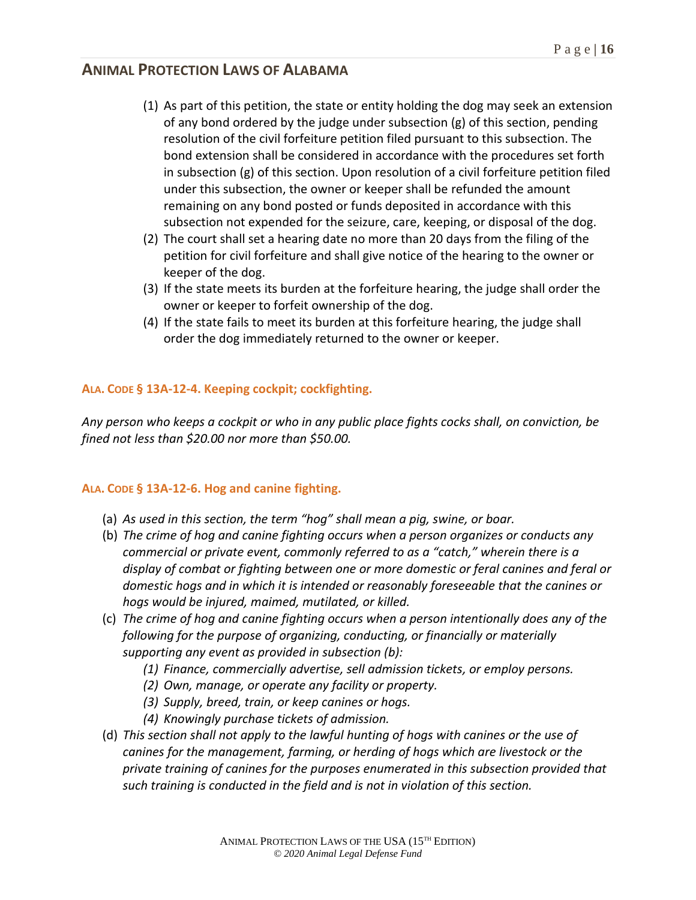- (1) As part of this petition, the state or entity holding the dog may seek an extension of any bond ordered by the judge under subsection (g) of this section, pending resolution of the civil forfeiture petition filed pursuant to this subsection. The bond extension shall be considered in accordance with the procedures set forth in subsection (g) of this section. Upon resolution of a civil forfeiture petition filed under this subsection, the owner or keeper shall be refunded the amount remaining on any bond posted or funds deposited in accordance with this subsection not expended for the seizure, care, keeping, or disposal of the dog.
- (2) The court shall set a hearing date no more than 20 days from the filing of the petition for civil forfeiture and shall give notice of the hearing to the owner or keeper of the dog.
- (3) If the state meets its burden at the forfeiture hearing, the judge shall order the owner or keeper to forfeit ownership of the dog.
- (4) If the state fails to meet its burden at this forfeiture hearing, the judge shall order the dog immediately returned to the owner or keeper.

### **ALA. CODE § 13A-12-4. Keeping cockpit; cockfighting.**

*Any person who keeps a cockpit or who in any public place fights cocks shall, on conviction, be fined not less than \$20.00 nor more than \$50.00.*

#### **ALA. CODE § 13A-12-6. Hog and canine fighting.**

- (a) *As used in this section, the term "hog" shall mean a pig, swine, or boar.*
- (b) *The crime of hog and canine fighting occurs when a person organizes or conducts any commercial or private event, commonly referred to as a "catch," wherein there is a display of combat or fighting between one or more domestic or feral canines and feral or domestic hogs and in which it is intended or reasonably foreseeable that the canines or hogs would be injured, maimed, mutilated, or killed.*
- (c) *The crime of hog and canine fighting occurs when a person intentionally does any of the following for the purpose of organizing, conducting, or financially or materially supporting any event as provided in subsection (b):*
	- *(1) Finance, commercially advertise, sell admission tickets, or employ persons.*
	- *(2) Own, manage, or operate any facility or property.*
	- *(3) Supply, breed, train, or keep canines or hogs.*
	- *(4) Knowingly purchase tickets of admission.*
- (d) *This section shall not apply to the lawful hunting of hogs with canines or the use of canines for the management, farming, or herding of hogs which are livestock or the private training of canines for the purposes enumerated in this subsection provided that such training is conducted in the field and is not in violation of this section.*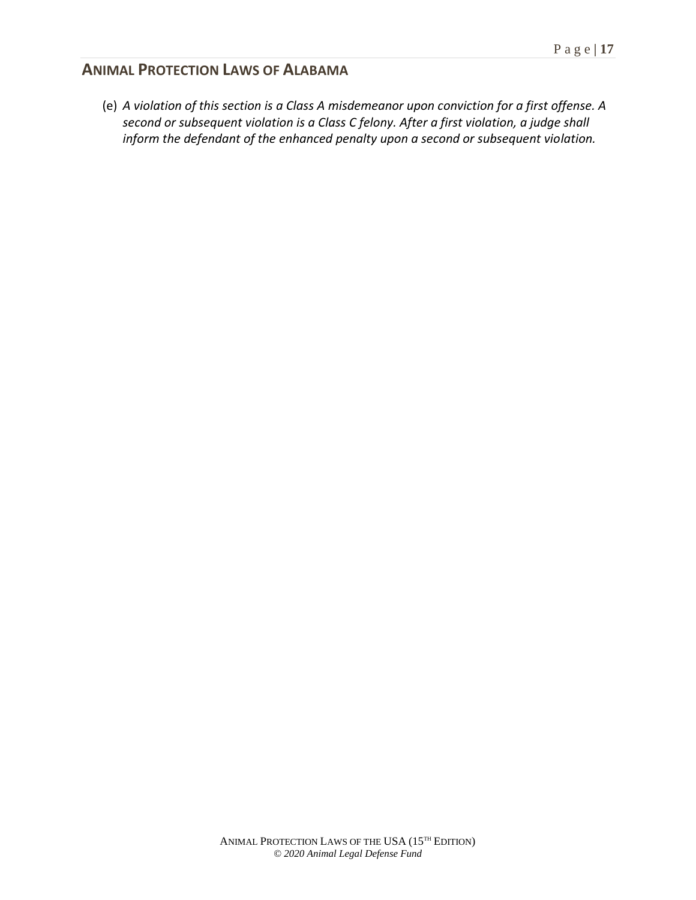(e) *A violation of this section is a Class A misdemeanor upon conviction for a first offense. A second or subsequent violation is a Class C felony. After a first violation, a judge shall inform the defendant of the enhanced penalty upon a second or subsequent violation.*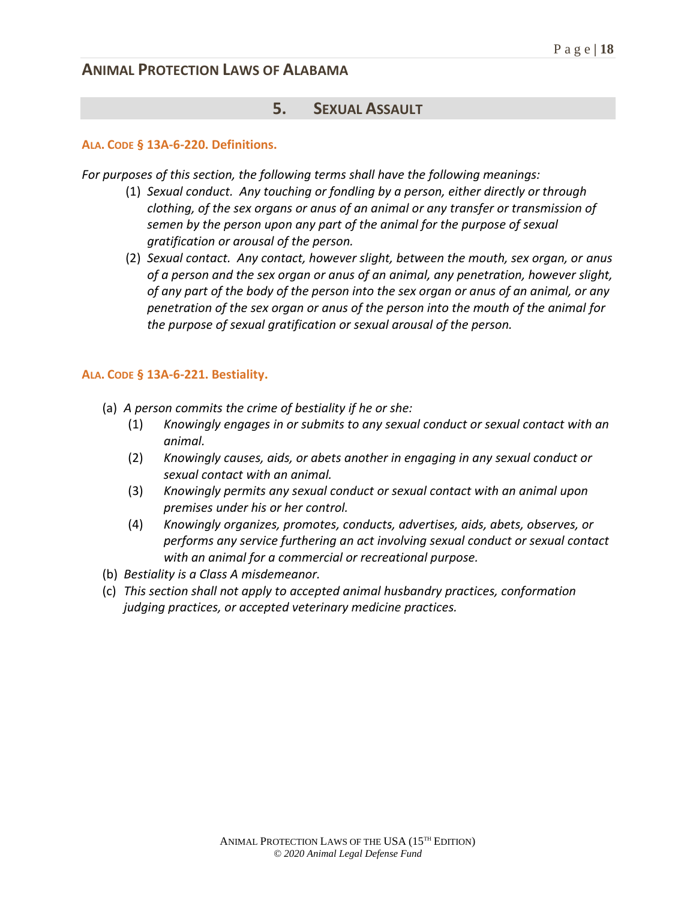### **5. SEXUAL ASSAULT**

#### **ALA. CODE § 13A-6-220. Definitions.**

*For purposes of this section, the following terms shall have the following meanings:*

- (1) *Sexual conduct. Any touching or fondling by a person, either directly or through clothing, of the sex organs or anus of an animal or any transfer or transmission of semen by the person upon any part of the animal for the purpose of sexual gratification or arousal of the person.*
- (2) *Sexual contact. Any contact, however slight, between the mouth, sex organ, or anus of a person and the sex organ or anus of an animal, any penetration, however slight, of any part of the body of the person into the sex organ or anus of an animal, or any penetration of the sex organ or anus of the person into the mouth of the animal for the purpose of sexual gratification or sexual arousal of the person.*

#### **ALA. CODE § 13A-6-221. Bestiality.**

- (a) *A person commits the crime of bestiality if he or she:*
	- (1) *Knowingly engages in or submits to any sexual conduct or sexual contact with an animal.*
	- (2) *Knowingly causes, aids, or abets another in engaging in any sexual conduct or sexual contact with an animal.*
	- (3) *Knowingly permits any sexual conduct or sexual contact with an animal upon premises under his or her control.*
	- (4) *Knowingly organizes, promotes, conducts, advertises, aids, abets, observes, or performs any service furthering an act involving sexual conduct or sexual contact with an animal for a commercial or recreational purpose.*
- (b) *Bestiality is a Class A misdemeanor.*
- (c) *This section shall not apply to accepted animal husbandry practices, conformation judging practices, or accepted veterinary medicine practices.*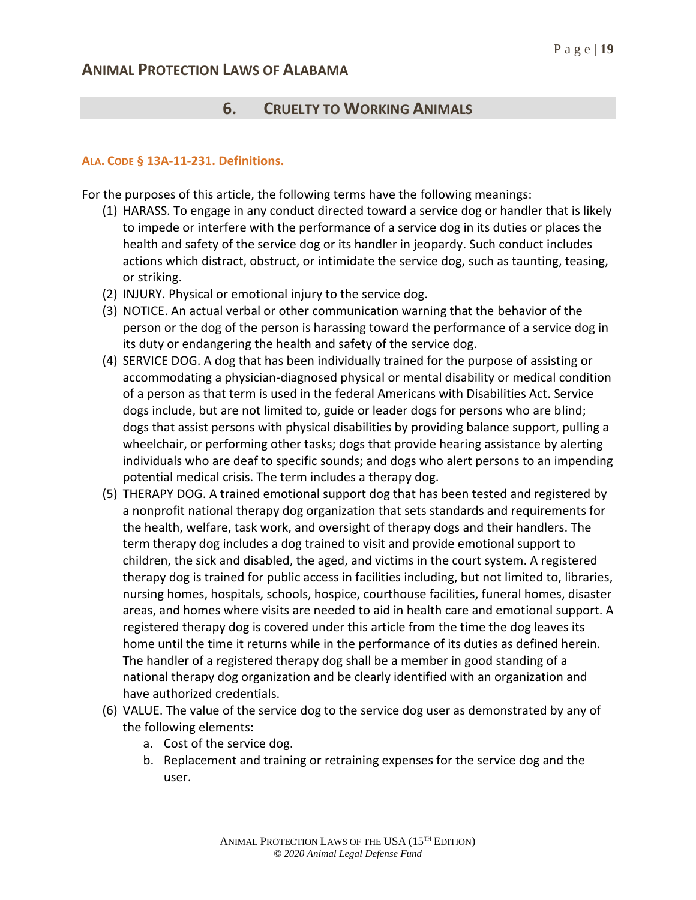## **6. CRUELTY TO WORKING ANIMALS**

#### **ALA. CODE § 13A-11-231. Definitions.**

For the purposes of this article, the following terms have the following meanings:

- (1) HARASS. To engage in any conduct directed toward a service dog or handler that is likely to impede or interfere with the performance of a service dog in its duties or places the health and safety of the service dog or its handler in jeopardy. Such conduct includes actions which distract, obstruct, or intimidate the service dog, such as taunting, teasing, or striking.
- (2) INJURY. Physical or emotional injury to the service dog.
- (3) NOTICE. An actual verbal or other communication warning that the behavior of the person or the dog of the person is harassing toward the performance of a service dog in its duty or endangering the health and safety of the service dog.
- (4) SERVICE DOG. A dog that has been individually trained for the purpose of assisting or accommodating a physician-diagnosed physical or mental disability or medical condition of a person as that term is used in the federal Americans with Disabilities Act. Service dogs include, but are not limited to, guide or leader dogs for persons who are blind; dogs that assist persons with physical disabilities by providing balance support, pulling a wheelchair, or performing other tasks; dogs that provide hearing assistance by alerting individuals who are deaf to specific sounds; and dogs who alert persons to an impending potential medical crisis. The term includes a therapy dog.
- (5) THERAPY DOG. A trained emotional support dog that has been tested and registered by a nonprofit national therapy dog organization that sets standards and requirements for the health, welfare, task work, and oversight of therapy dogs and their handlers. The term therapy dog includes a dog trained to visit and provide emotional support to children, the sick and disabled, the aged, and victims in the court system. A registered therapy dog is trained for public access in facilities including, but not limited to, libraries, nursing homes, hospitals, schools, hospice, courthouse facilities, funeral homes, disaster areas, and homes where visits are needed to aid in health care and emotional support. A registered therapy dog is covered under this article from the time the dog leaves its home until the time it returns while in the performance of its duties as defined herein. The handler of a registered therapy dog shall be a member in good standing of a national therapy dog organization and be clearly identified with an organization and have authorized credentials.
- (6) VALUE. The value of the service dog to the service dog user as demonstrated by any of the following elements:
	- a. Cost of the service dog.
	- b. Replacement and training or retraining expenses for the service dog and the user.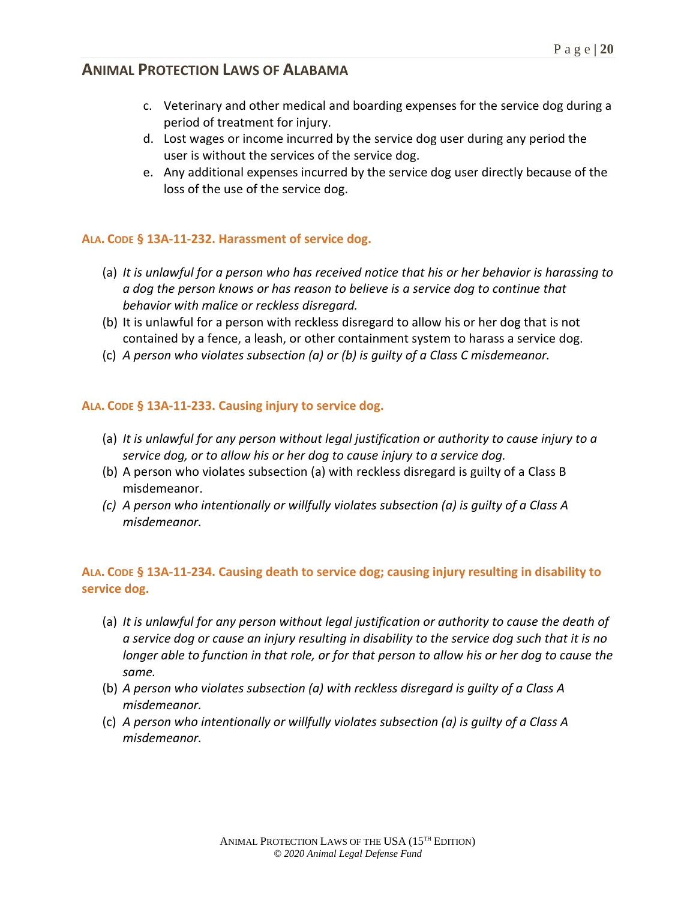- c. Veterinary and other medical and boarding expenses for the service dog during a period of treatment for injury.
- d. Lost wages or income incurred by the service dog user during any period the user is without the services of the service dog.
- e. Any additional expenses incurred by the service dog user directly because of the loss of the use of the service dog.

#### **ALA. CODE § 13A-11-232. Harassment of service dog.**

- (a) *It is unlawful for a person who has received notice that his or her behavior is harassing to a dog the person knows or has reason to believe is a service dog to continue that behavior with malice or reckless disregard.*
- (b) It is unlawful for a person with reckless disregard to allow his or her dog that is not contained by a fence, a leash, or other containment system to harass a service dog.
- (c) *A person who violates subsection (a) or (b) is guilty of a Class C misdemeanor.*

#### **ALA. CODE § 13A-11-233. Causing injury to service dog.**

- (a) *It is unlawful for any person without legal justification or authority to cause injury to a service dog, or to allow his or her dog to cause injury to a service dog.*
- (b) A person who violates subsection (a) with reckless disregard is guilty of a Class B misdemeanor.
- *(c) A person who intentionally or willfully violates subsection (a) is guilty of a Class A misdemeanor.*

### **ALA. CODE § 13A-11-234. Causing death to service dog; causing injury resulting in disability to service dog.**

- (a) *It is unlawful for any person without legal justification or authority to cause the death of a service dog or cause an injury resulting in disability to the service dog such that it is no longer able to function in that role, or for that person to allow his or her dog to cause the same.*
- (b) *A person who violates subsection (a) with reckless disregard is guilty of a Class A misdemeanor.*
- (c) *A person who intentionally or willfully violates subsection (a) is guilty of a Class A misdemeanor.*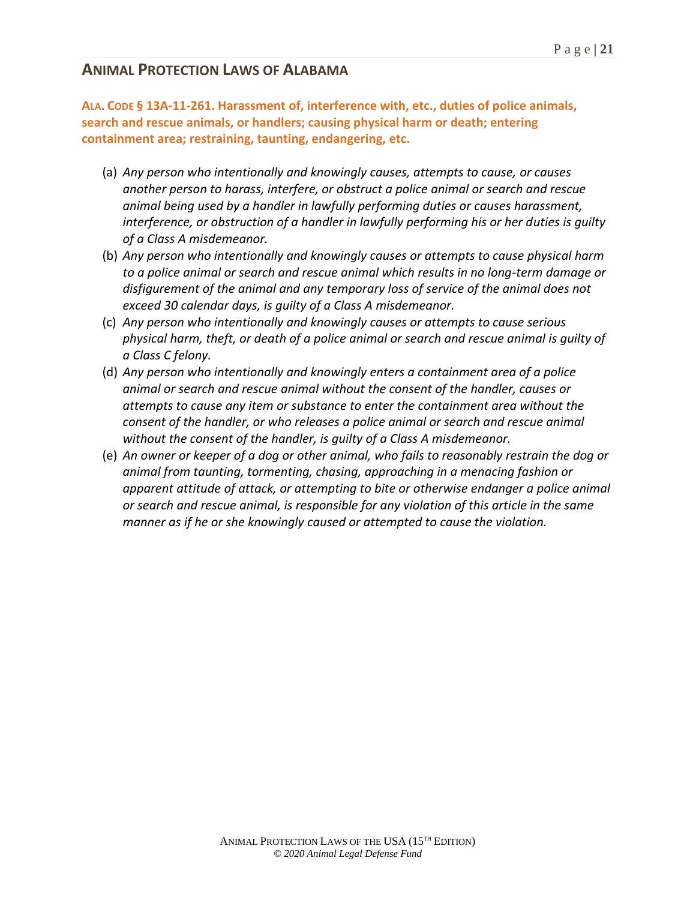**ALA. CODE § 13A-11-261. Harassment of, interference with, etc., duties of police animals, search and rescue animals, or handlers; causing physical harm or death; entering containment area; restraining, taunting, endangering, etc.**

- (a) *Any person who intentionally and knowingly causes, attempts to cause, or causes another person to harass, interfere, or obstruct a police animal or search and rescue animal being used by a handler in lawfully performing duties or causes harassment, interference, or obstruction of a handler in lawfully performing his or her duties is guilty of a Class A misdemeanor.*
- (b) *Any person who intentionally and knowingly causes or attempts to cause physical harm to a police animal or search and rescue animal which results in no long-term damage or disfigurement of the animal and any temporary loss of service of the animal does not exceed 30 calendar days, is guilty of a Class A misdemeanor.*
- (c) *Any person who intentionally and knowingly causes or attempts to cause serious physical harm, theft, or death of a police animal or search and rescue animal is guilty of a Class C felony.*
- (d) *Any person who intentionally and knowingly enters a containment area of a police animal or search and rescue animal without the consent of the handler, causes or attempts to cause any item or substance to enter the containment area without the consent of the handler, or who releases a police animal or search and rescue animal without the consent of the handler, is guilty of a Class A misdemeanor.*
- (e) *An owner or keeper of a dog or other animal, who fails to reasonably restrain the dog or animal from taunting, tormenting, chasing, approaching in a menacing fashion or apparent attitude of attack, or attempting to bite or otherwise endanger a police animal or search and rescue animal, is responsible for any violation of this article in the same manner as if he or she knowingly caused or attempted to cause the violation.*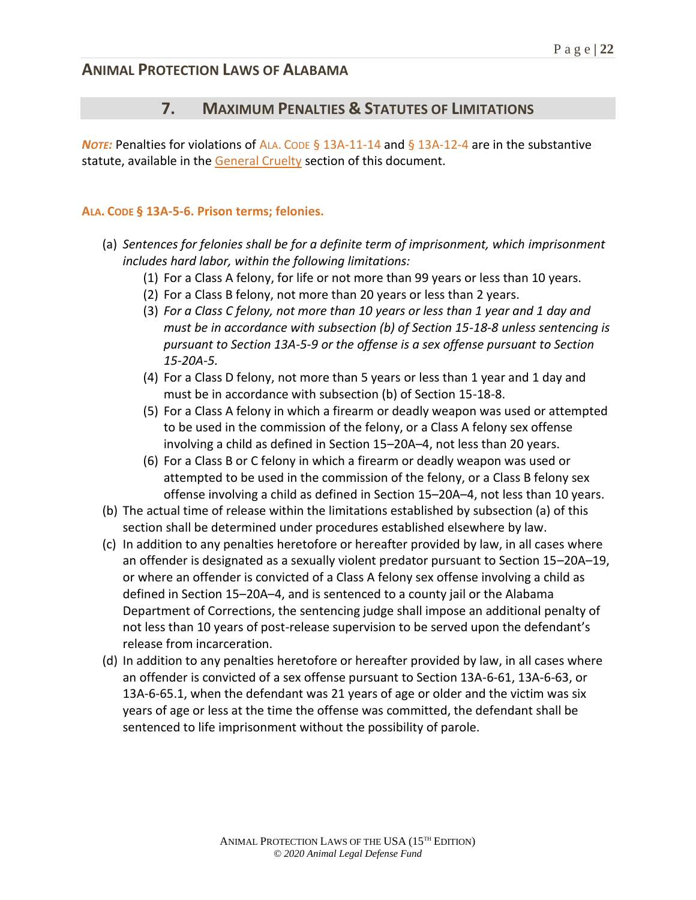### **7. MAXIMUM PENALTIES & STATUTES OF LIMITATIONS**

*NOTE*: Penalties for violations of ALA. CODE § 13A-11-14 and § 13A-12-4 are in the substantive statute, available in the General Cruelty section of this document.

#### **ALA. CODE § 13A-5-6. Prison terms; felonies.**

- (a) *Sentences for felonies shall be for a definite term of imprisonment, which imprisonment includes hard labor, within the following limitations:*
	- (1) For a Class A felony, for life or not more than 99 years or less than 10 years.
	- (2) For a Class B felony, not more than 20 years or less than 2 years.
	- (3) *For a Class C felony, not more than 10 years or less than 1 year and 1 day and must be in accordance with subsection (b) of Section 15-18-8 unless sentencing is pursuant to Section 13A-5-9 or the offense is a sex offense pursuant to Section 15-20A-5.*
	- (4) For a Class D felony, not more than 5 years or less than 1 year and 1 day and must be in accordance with subsection (b) of Section 15-18-8.
	- (5) For a Class A felony in which a firearm or deadly weapon was used or attempted to be used in the commission of the felony, or a Class A felony sex offense involving a child as defined in Section 15–20A–4, not less than 20 years.
	- (6) For a Class B or C felony in which a firearm or deadly weapon was used or attempted to be used in the commission of the felony, or a Class B felony sex offense involving a child as defined in Section 15–20A–4, not less than 10 years.
- (b) The actual time of release within the limitations established by subsection (a) of this section shall be determined under procedures established elsewhere by law.
- (c) In addition to any penalties heretofore or hereafter provided by law, in all cases where an offender is designated as a sexually violent predator pursuant to Section 15–20A–19, or where an offender is convicted of a Class A felony sex offense involving a child as defined in Section 15–20A–4, and is sentenced to a county jail or the Alabama Department of Corrections, the sentencing judge shall impose an additional penalty of not less than 10 years of post-release supervision to be served upon the defendant's release from incarceration.
- (d) In addition to any penalties heretofore or hereafter provided by law, in all cases where an offender is convicted of a sex offense pursuant to Section 13A-6-61, 13A-6-63, or 13A-6-65.1, when the defendant was 21 years of age or older and the victim was six years of age or less at the time the offense was committed, the defendant shall be sentenced to life imprisonment without the possibility of parole.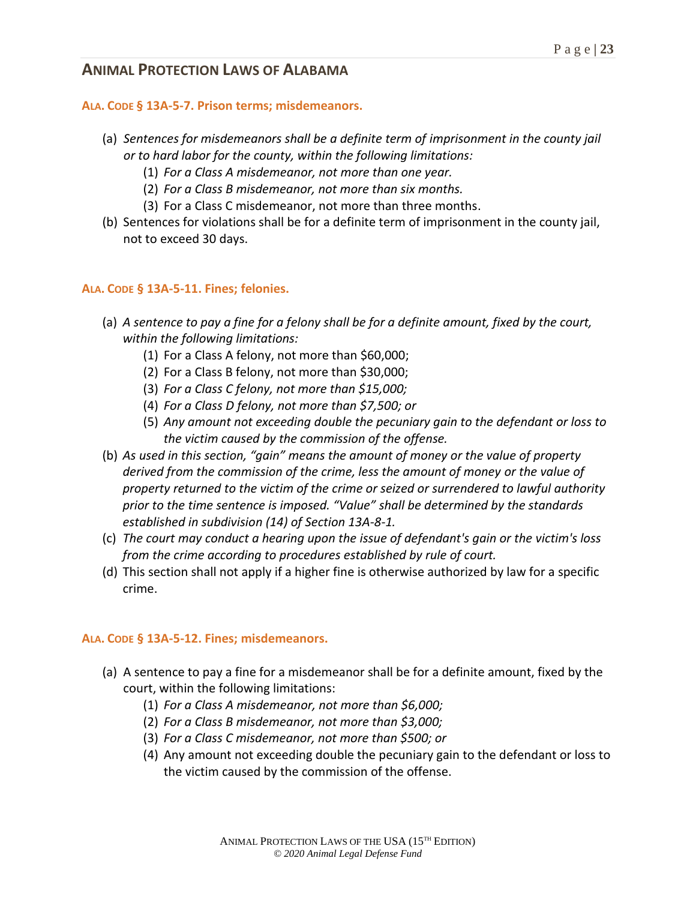#### **ALA. CODE § 13A-5-7. Prison terms; misdemeanors.**

- (a) *Sentences for misdemeanors shall be a definite term of imprisonment in the county jail or to hard labor for the county, within the following limitations:*
	- (1) *For a Class A misdemeanor, not more than one year.*
	- (2) *For a Class B misdemeanor, not more than six months.*
	- (3) For a Class C misdemeanor, not more than three months.
- (b) Sentences for violations shall be for a definite term of imprisonment in the county jail, not to exceed 30 days.

#### **ALA. CODE § 13A-5-11. Fines; felonies.**

- (a) *A sentence to pay a fine for a felony shall be for a definite amount, fixed by the court, within the following limitations:*
	- (1) For a Class A felony, not more than \$60,000;
	- (2) For a Class B felony, not more than \$30,000;
	- (3) *For a Class C felony, not more than \$15,000;*
	- (4) *For a Class D felony, not more than \$7,500; or*
	- (5) *Any amount not exceeding double the pecuniary gain to the defendant or loss to the victim caused by the commission of the offense.*
- (b) *As used in this section, "gain" means the amount of money or the value of property derived from the commission of the crime, less the amount of money or the value of property returned to the victim of the crime or seized or surrendered to lawful authority prior to the time sentence is imposed. "Value" shall be determined by the standards established in subdivision (14) of Section 13A-8-1.*
- (c) *The court may conduct a hearing upon the issue of defendant's gain or the victim's loss from the crime according to procedures established by rule of court.*
- (d) This section shall not apply if a higher fine is otherwise authorized by law for a specific crime.

#### **ALA. CODE § 13A-5-12. Fines; misdemeanors.**

- (a) A sentence to pay a fine for a misdemeanor shall be for a definite amount, fixed by the court, within the following limitations:
	- (1) *For a Class A misdemeanor, not more than \$6,000;*
	- (2) *For a Class B misdemeanor, not more than \$3,000;*
	- (3) *For a Class C misdemeanor, not more than \$500; or*
	- (4) Any amount not exceeding double the pecuniary gain to the defendant or loss to the victim caused by the commission of the offense.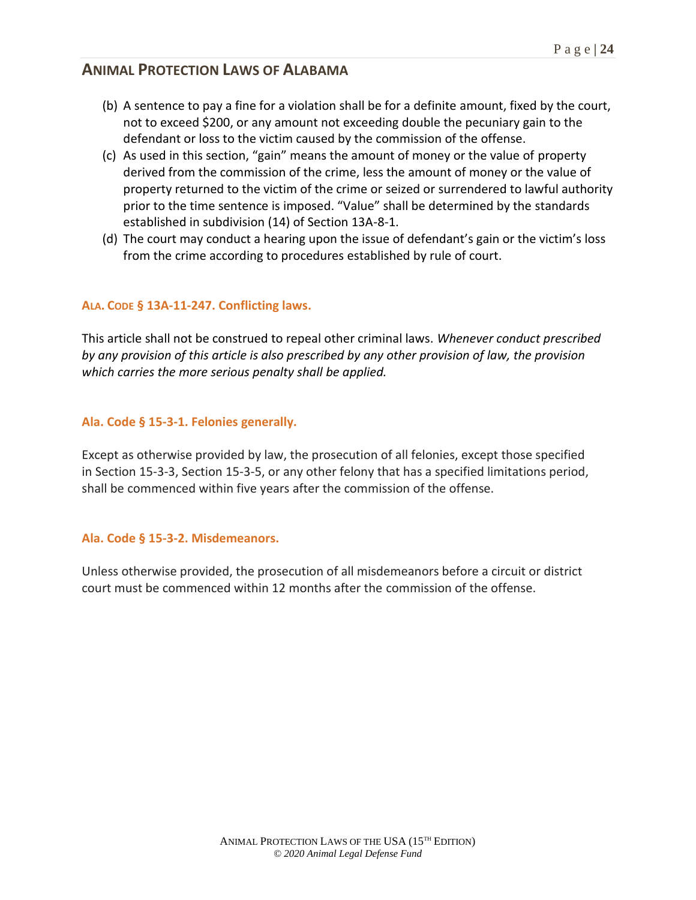- (b) A sentence to pay a fine for a violation shall be for a definite amount, fixed by the court, not to exceed \$200, or any amount not exceeding double the pecuniary gain to the defendant or loss to the victim caused by the commission of the offense.
- (c) As used in this section, "gain" means the amount of money or the value of property derived from the commission of the crime, less the amount of money or the value of property returned to the victim of the crime or seized or surrendered to lawful authority prior to the time sentence is imposed. "Value" shall be determined by the standards established in subdivision (14) of Section 13A-8-1.
- (d) The court may conduct a hearing upon the issue of defendant's gain or the victim's loss from the crime according to procedures established by rule of court.

#### **ALA. CODE § 13A-11-247. Conflicting laws.**

This article shall not be construed to repeal other criminal laws. *Whenever conduct prescribed by any provision of this article is also prescribed by any other provision of law, the provision which carries the more serious penalty shall be applied.*

#### **Ala. Code § 15-3-1. Felonies generally.**

Except as otherwise provided by law, the prosecution of all felonies, except those specified in Section 15-3-3, Section 15-3-5, or any other felony that has a specified limitations period, shall be commenced within five years after the commission of the offense.

#### **Ala. Code § 15-3-2. Misdemeanors.**

Unless otherwise provided, the prosecution of all misdemeanors before a circuit or district court must be commenced within 12 months after the commission of the offense.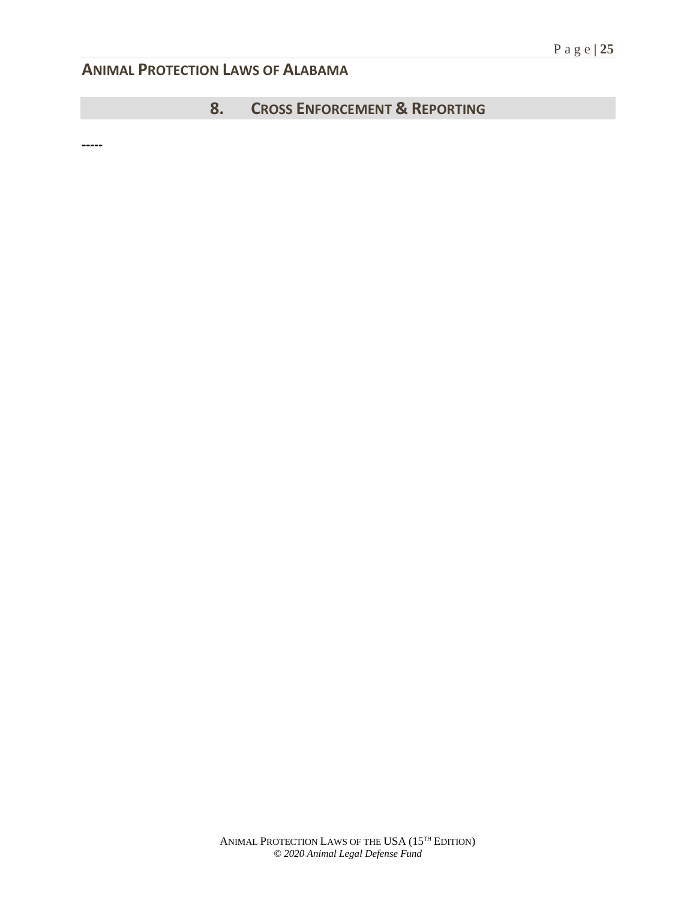## **8. CROSS ENFORCEMENT & REPORTING**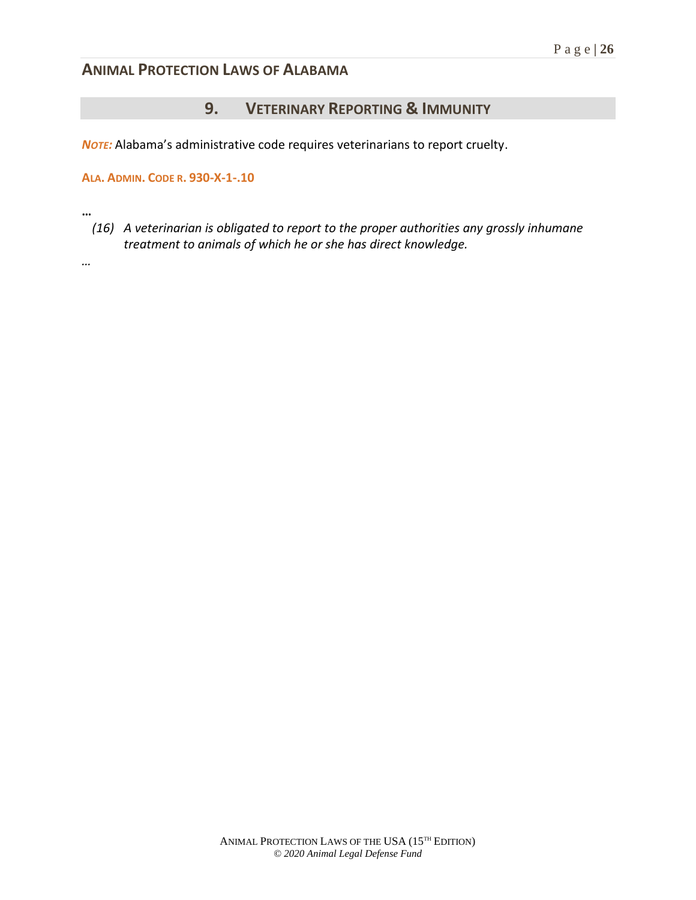### **9. VETERINARY REPORTING & IMMUNITY**

*NOTE:* Alabama's administrative code requires veterinarians to report cruelty.

**ALA. ADMIN. CODE R. 930-X-1-.10**

**…**

*(16) A veterinarian is obligated to report to the proper authorities any grossly inhumane treatment to animals of which he or she has direct knowledge.*

*…*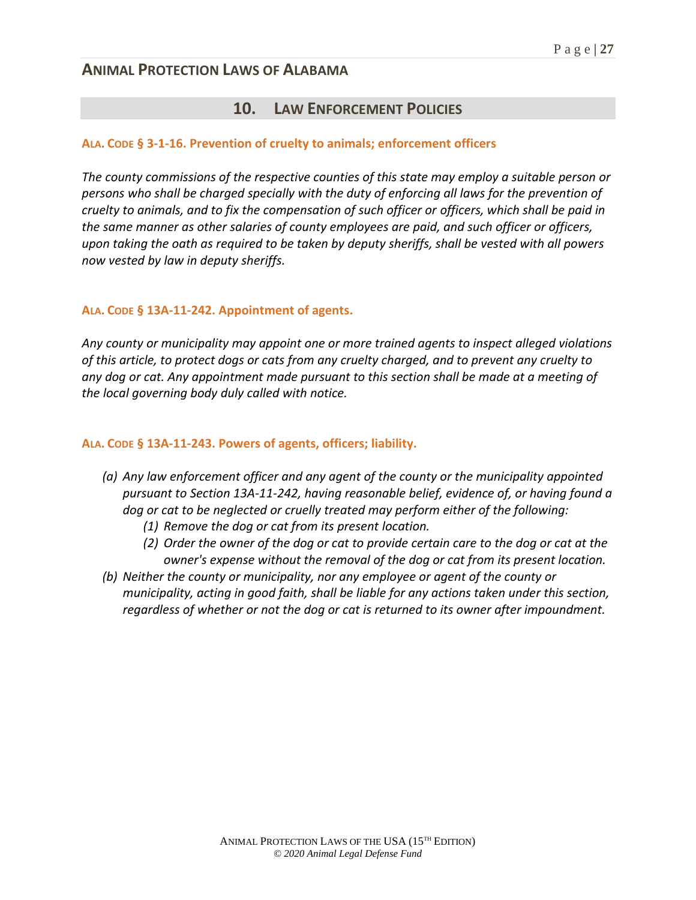### **10. LAW ENFORCEMENT POLICIES**

#### **ALA. CODE § 3-1-16. Prevention of cruelty to animals; enforcement officers**

*The county commissions of the respective counties of this state may employ a suitable person or persons who shall be charged specially with the duty of enforcing all laws for the prevention of cruelty to animals, and to fix the compensation of such officer or officers, which shall be paid in the same manner as other salaries of county employees are paid, and such officer or officers, upon taking the oath as required to be taken by deputy sheriffs, shall be vested with all powers now vested by law in deputy sheriffs.*

#### **ALA. CODE § 13A-11-242. Appointment of agents.**

*Any county or municipality may appoint one or more trained agents to inspect alleged violations of this article, to protect dogs or cats from any cruelty charged, and to prevent any cruelty to any dog or cat. Any appointment made pursuant to this section shall be made at a meeting of the local governing body duly called with notice.*

#### **ALA. CODE § 13A-11-243. Powers of agents, officers; liability.**

- *(a) Any law enforcement officer and any agent of the county or the municipality appointed pursuant to Section 13A-11-242, having reasonable belief, evidence of, or having found a dog or cat to be neglected or cruelly treated may perform either of the following:*
	- *(1) Remove the dog or cat from its present location.*
	- *(2) Order the owner of the dog or cat to provide certain care to the dog or cat at the owner's expense without the removal of the dog or cat from its present location.*
- *(b) Neither the county or municipality, nor any employee or agent of the county or municipality, acting in good faith, shall be liable for any actions taken under this section, regardless of whether or not the dog or cat is returned to its owner after impoundment.*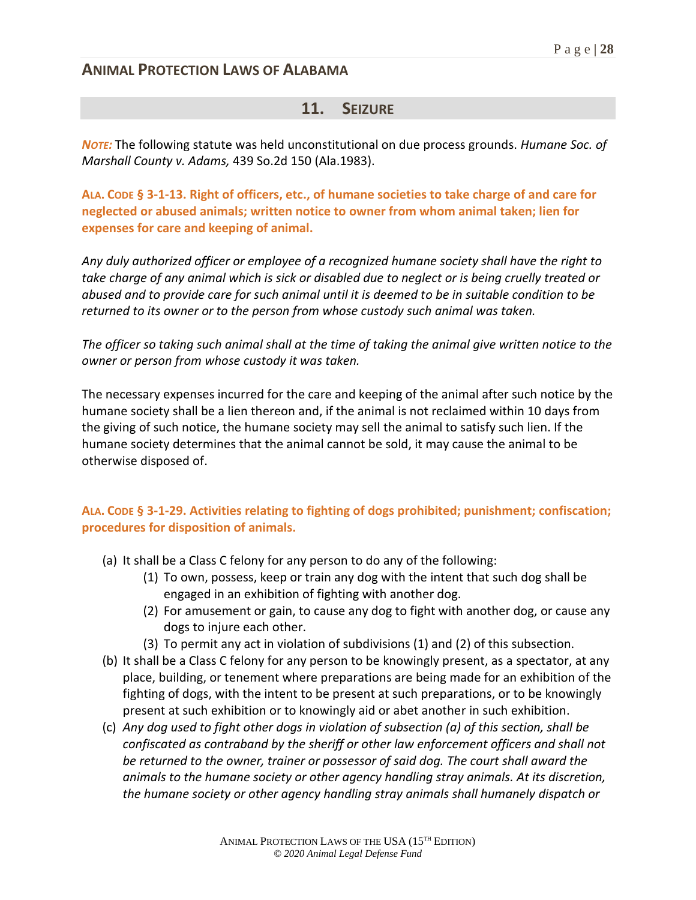### **11. SEIZURE**

*NOTE:* The following statute was held unconstitutional on due process grounds. *Humane Soc. of Marshall County v. Adams,* 439 So.2d 150 (Ala.1983).

**ALA. CODE § 3-1-13. Right of officers, etc., of humane societies to take charge of and care for neglected or abused animals; written notice to owner from whom animal taken; lien for expenses for care and keeping of animal.**

*Any duly authorized officer or employee of a recognized humane society shall have the right to take charge of any animal which is sick or disabled due to neglect or is being cruelly treated or abused and to provide care for such animal until it is deemed to be in suitable condition to be returned to its owner or to the person from whose custody such animal was taken.* 

*The officer so taking such animal shall at the time of taking the animal give written notice to the owner or person from whose custody it was taken.*

The necessary expenses incurred for the care and keeping of the animal after such notice by the humane society shall be a lien thereon and, if the animal is not reclaimed within 10 days from the giving of such notice, the humane society may sell the animal to satisfy such lien. If the humane society determines that the animal cannot be sold, it may cause the animal to be otherwise disposed of.

#### **ALA. CODE § 3-1-29. Activities relating to fighting of dogs prohibited; punishment; confiscation; procedures for disposition of animals.**

- (a) It shall be a Class C felony for any person to do any of the following:
	- (1) To own, possess, keep or train any dog with the intent that such dog shall be engaged in an exhibition of fighting with another dog.
	- (2) For amusement or gain, to cause any dog to fight with another dog, or cause any dogs to injure each other.
	- (3) To permit any act in violation of subdivisions (1) and (2) of this subsection.
- (b) It shall be a Class C felony for any person to be knowingly present, as a spectator, at any place, building, or tenement where preparations are being made for an exhibition of the fighting of dogs, with the intent to be present at such preparations, or to be knowingly present at such exhibition or to knowingly aid or abet another in such exhibition.
- (c) *Any dog used to fight other dogs in violation of subsection (a) of this section, shall be confiscated as contraband by the sheriff or other law enforcement officers and shall not be returned to the owner, trainer or possessor of said dog. The court shall award the animals to the humane society or other agency handling stray animals. At its discretion, the humane society or other agency handling stray animals shall humanely dispatch or*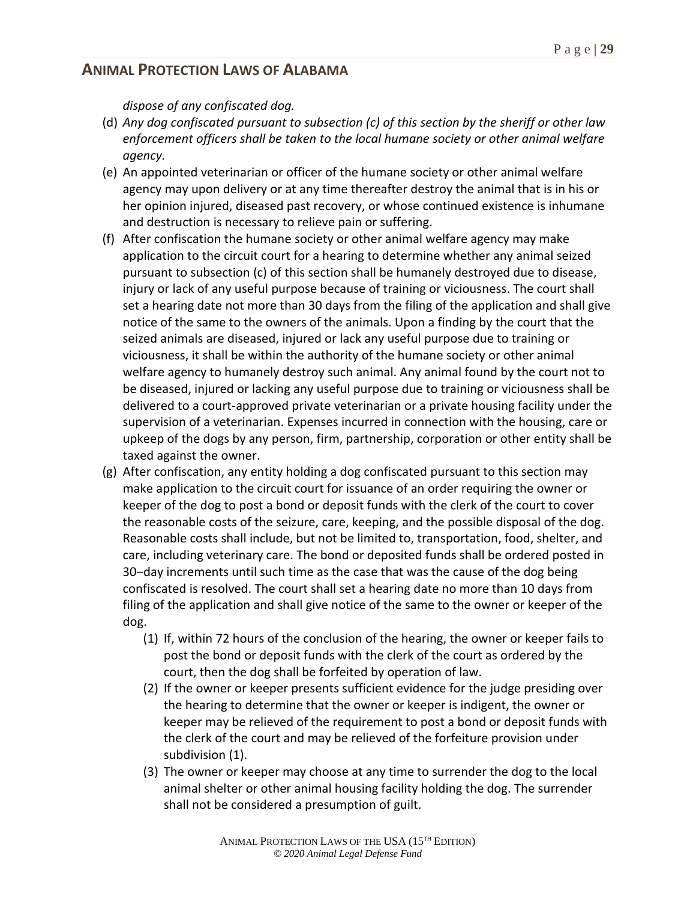*dispose of any confiscated dog.*

- (d) *Any dog confiscated pursuant to subsection (c) of this section by the sheriff or other law enforcement officers shall be taken to the local humane society or other animal welfare agency.*
- (e) An appointed veterinarian or officer of the humane society or other animal welfare agency may upon delivery or at any time thereafter destroy the animal that is in his or her opinion injured, diseased past recovery, or whose continued existence is inhumane and destruction is necessary to relieve pain or suffering.
- (f) After confiscation the humane society or other animal welfare agency may make application to the circuit court for a hearing to determine whether any animal seized pursuant to subsection (c) of this section shall be humanely destroyed due to disease, injury or lack of any useful purpose because of training or viciousness. The court shall set a hearing date not more than 30 days from the filing of the application and shall give notice of the same to the owners of the animals. Upon a finding by the court that the seized animals are diseased, injured or lack any useful purpose due to training or viciousness, it shall be within the authority of the humane society or other animal welfare agency to humanely destroy such animal. Any animal found by the court not to be diseased, injured or lacking any useful purpose due to training or viciousness shall be delivered to a court-approved private veterinarian or a private housing facility under the supervision of a veterinarian. Expenses incurred in connection with the housing, care or upkeep of the dogs by any person, firm, partnership, corporation or other entity shall be taxed against the owner.
- (g) After confiscation, any entity holding a dog confiscated pursuant to this section may make application to the circuit court for issuance of an order requiring the owner or keeper of the dog to post a bond or deposit funds with the clerk of the court to cover the reasonable costs of the seizure, care, keeping, and the possible disposal of the dog. Reasonable costs shall include, but not be limited to, transportation, food, shelter, and care, including veterinary care. The bond or deposited funds shall be ordered posted in 30–day increments until such time as the case that was the cause of the dog being confiscated is resolved. The court shall set a hearing date no more than 10 days from filing of the application and shall give notice of the same to the owner or keeper of the dog.
	- (1) If, within 72 hours of the conclusion of the hearing, the owner or keeper fails to post the bond or deposit funds with the clerk of the court as ordered by the court, then the dog shall be forfeited by operation of law.
	- (2) If the owner or keeper presents sufficient evidence for the judge presiding over the hearing to determine that the owner or keeper is indigent, the owner or keeper may be relieved of the requirement to post a bond or deposit funds with the clerk of the court and may be relieved of the forfeiture provision under subdivision (1).
	- (3) The owner or keeper may choose at any time to surrender the dog to the local animal shelter or other animal housing facility holding the dog. The surrender shall not be considered a presumption of guilt.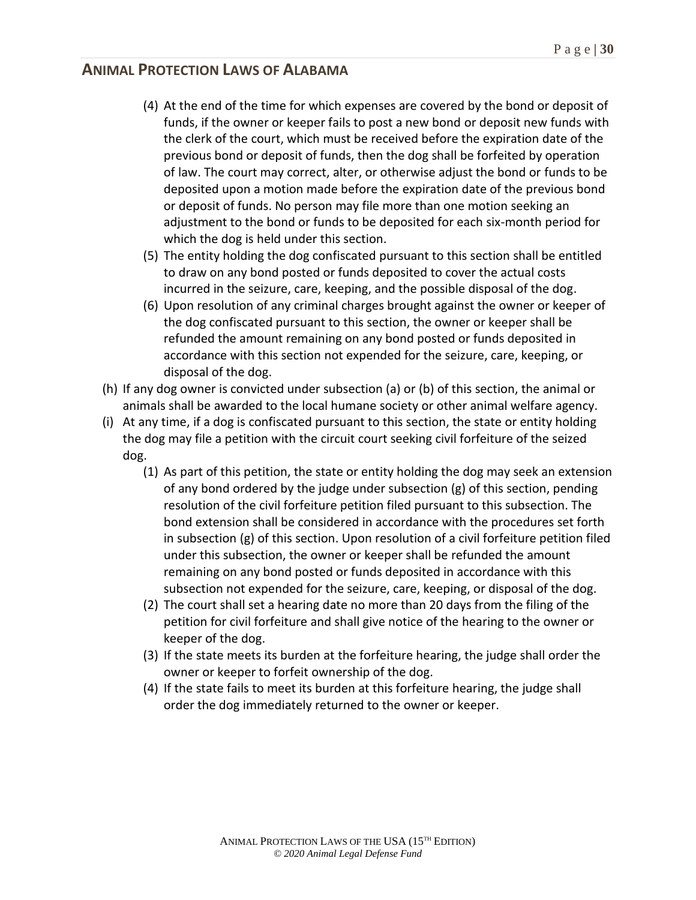- (4) At the end of the time for which expenses are covered by the bond or deposit of funds, if the owner or keeper fails to post a new bond or deposit new funds with the clerk of the court, which must be received before the expiration date of the previous bond or deposit of funds, then the dog shall be forfeited by operation of law. The court may correct, alter, or otherwise adjust the bond or funds to be deposited upon a motion made before the expiration date of the previous bond or deposit of funds. No person may file more than one motion seeking an adjustment to the bond or funds to be deposited for each six-month period for which the dog is held under this section.
- (5) The entity holding the dog confiscated pursuant to this section shall be entitled to draw on any bond posted or funds deposited to cover the actual costs incurred in the seizure, care, keeping, and the possible disposal of the dog.
- (6) Upon resolution of any criminal charges brought against the owner or keeper of the dog confiscated pursuant to this section, the owner or keeper shall be refunded the amount remaining on any bond posted or funds deposited in accordance with this section not expended for the seizure, care, keeping, or disposal of the dog.
- (h) If any dog owner is convicted under subsection (a) or (b) of this section, the animal or animals shall be awarded to the local humane society or other animal welfare agency.
- (i) At any time, if a dog is confiscated pursuant to this section, the state or entity holding the dog may file a petition with the circuit court seeking civil forfeiture of the seized dog.
	- (1) As part of this petition, the state or entity holding the dog may seek an extension of any bond ordered by the judge under subsection (g) of this section, pending resolution of the civil forfeiture petition filed pursuant to this subsection. The bond extension shall be considered in accordance with the procedures set forth in subsection (g) of this section. Upon resolution of a civil forfeiture petition filed under this subsection, the owner or keeper shall be refunded the amount remaining on any bond posted or funds deposited in accordance with this subsection not expended for the seizure, care, keeping, or disposal of the dog.
	- (2) The court shall set a hearing date no more than 20 days from the filing of the petition for civil forfeiture and shall give notice of the hearing to the owner or keeper of the dog.
	- (3) If the state meets its burden at the forfeiture hearing, the judge shall order the owner or keeper to forfeit ownership of the dog.
	- (4) If the state fails to meet its burden at this forfeiture hearing, the judge shall order the dog immediately returned to the owner or keeper.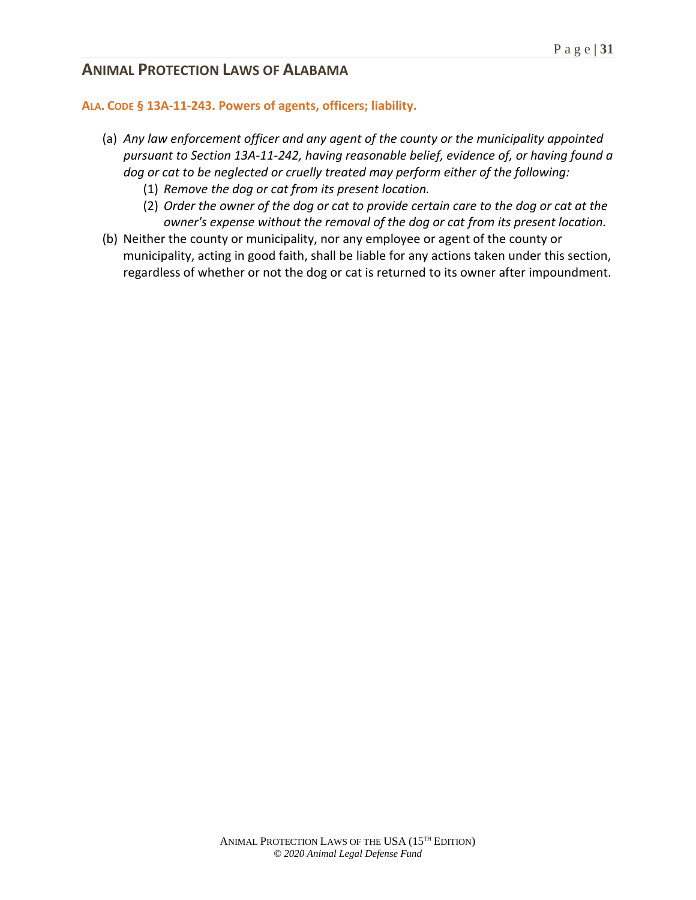#### **ALA. CODE § 13A-11-243. Powers of agents, officers; liability.**

- (a) *Any law enforcement officer and any agent of the county or the municipality appointed pursuant to Section 13A-11-242, having reasonable belief, evidence of, or having found a dog or cat to be neglected or cruelly treated may perform either of the following:*
	- (1) *Remove the dog or cat from its present location.*
	- (2) *Order the owner of the dog or cat to provide certain care to the dog or cat at the owner's expense without the removal of the dog or cat from its present location.*
- (b) Neither the county or municipality, nor any employee or agent of the county or municipality, acting in good faith, shall be liable for any actions taken under this section, regardless of whether or not the dog or cat is returned to its owner after impoundment.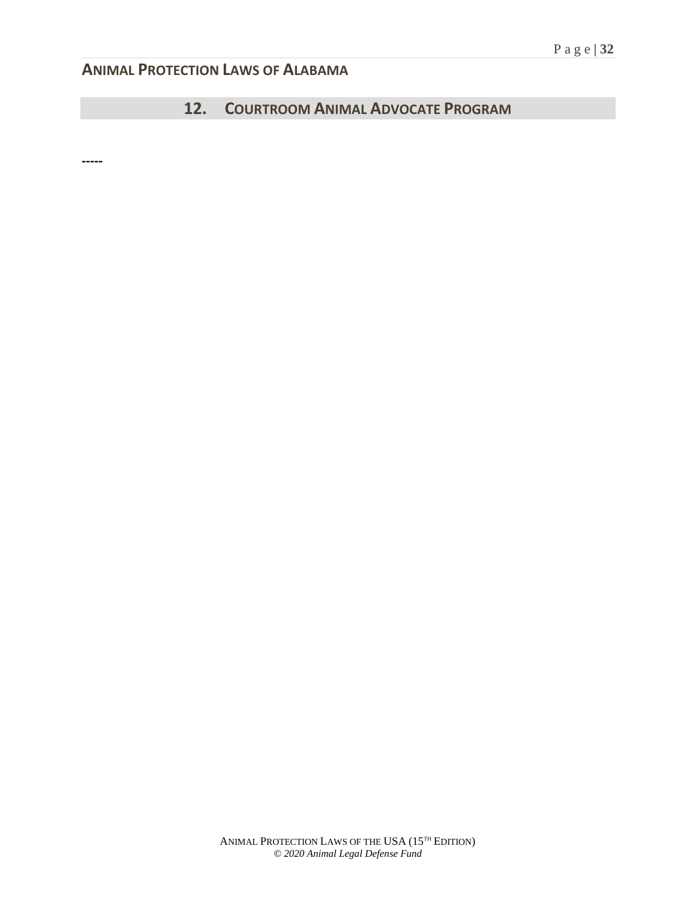## **12. COURTROOM ANIMAL ADVOCATE PROGRAM**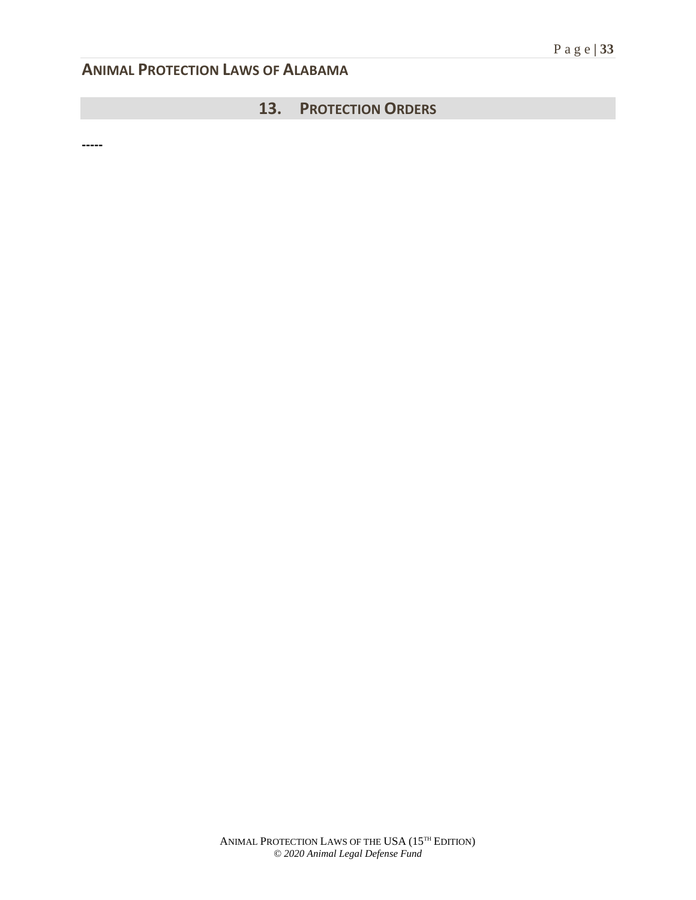## **13. PROTECTION ORDERS**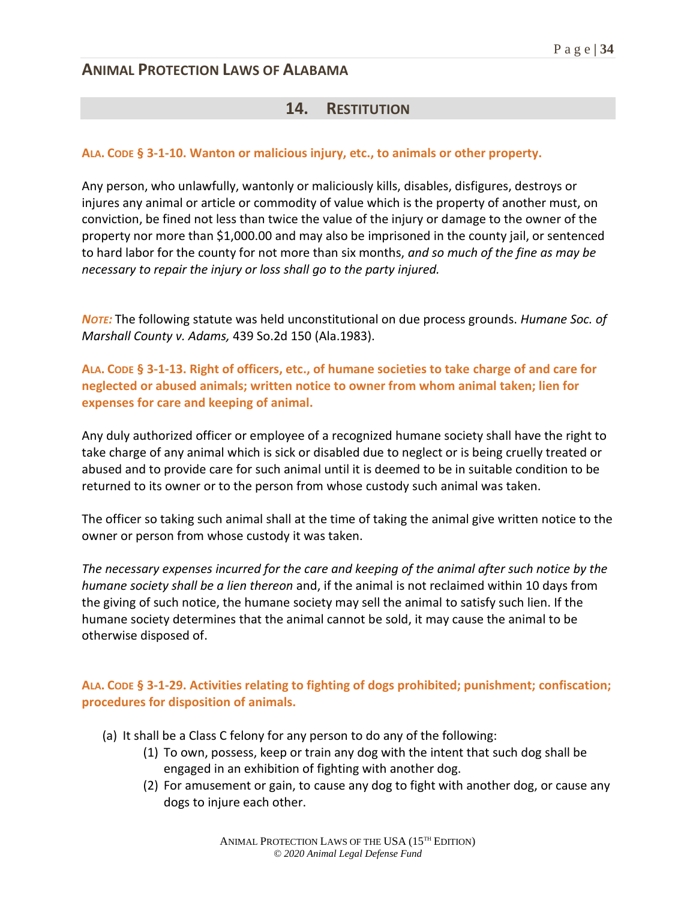## **14. RESTITUTION**

#### **ALA. CODE § 3-1-10. Wanton or malicious injury, etc., to animals or other property.**

Any person, who unlawfully, wantonly or maliciously kills, disables, disfigures, destroys or injures any animal or article or commodity of value which is the property of another must, on conviction, be fined not less than twice the value of the injury or damage to the owner of the property nor more than \$1,000.00 and may also be imprisoned in the county jail, or sentenced to hard labor for the county for not more than six months, *and so much of the fine as may be necessary to repair the injury or loss shall go to the party injured.*

*NOTE:* The following statute was held unconstitutional on due process grounds. *Humane Soc. of Marshall County v. Adams,* 439 So.2d 150 (Ala.1983).

**ALA. CODE § 3-1-13. Right of officers, etc., of humane societies to take charge of and care for neglected or abused animals; written notice to owner from whom animal taken; lien for expenses for care and keeping of animal.**

Any duly authorized officer or employee of a recognized humane society shall have the right to take charge of any animal which is sick or disabled due to neglect or is being cruelly treated or abused and to provide care for such animal until it is deemed to be in suitable condition to be returned to its owner or to the person from whose custody such animal was taken.

The officer so taking such animal shall at the time of taking the animal give written notice to the owner or person from whose custody it was taken.

*The necessary expenses incurred for the care and keeping of the animal after such notice by the humane society shall be a lien thereon* and, if the animal is not reclaimed within 10 days from the giving of such notice, the humane society may sell the animal to satisfy such lien. If the humane society determines that the animal cannot be sold, it may cause the animal to be otherwise disposed of.

**ALA. CODE § 3-1-29. Activities relating to fighting of dogs prohibited; punishment; confiscation; procedures for disposition of animals.**

- (a) It shall be a Class C felony for any person to do any of the following:
	- (1) To own, possess, keep or train any dog with the intent that such dog shall be engaged in an exhibition of fighting with another dog.
	- (2) For amusement or gain, to cause any dog to fight with another dog, or cause any dogs to injure each other.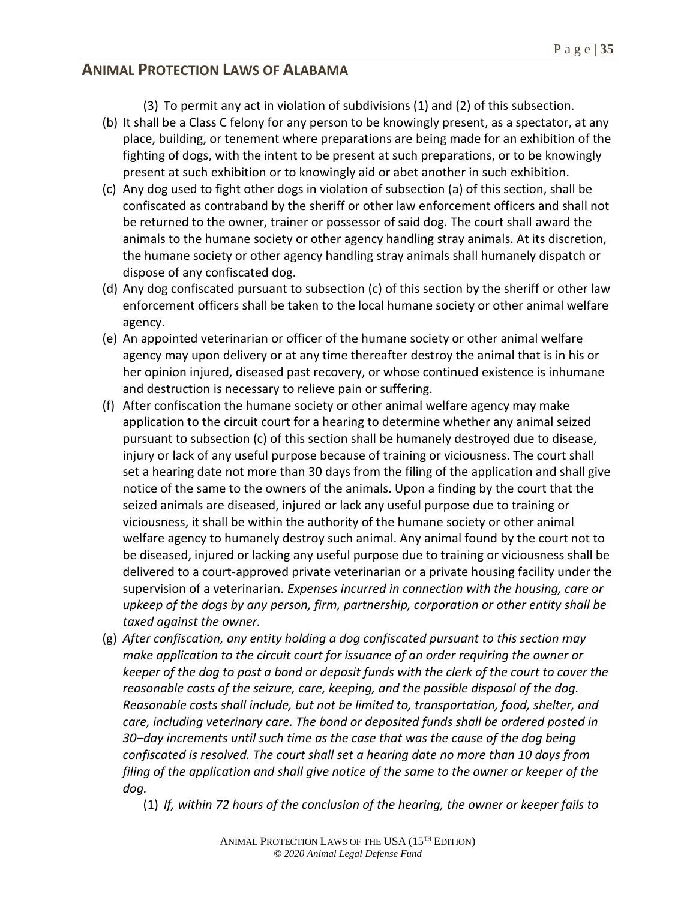- (3) To permit any act in violation of subdivisions (1) and (2) of this subsection.
- (b) It shall be a Class C felony for any person to be knowingly present, as a spectator, at any place, building, or tenement where preparations are being made for an exhibition of the fighting of dogs, with the intent to be present at such preparations, or to be knowingly present at such exhibition or to knowingly aid or abet another in such exhibition.
- (c) Any dog used to fight other dogs in violation of subsection (a) of this section, shall be confiscated as contraband by the sheriff or other law enforcement officers and shall not be returned to the owner, trainer or possessor of said dog. The court shall award the animals to the humane society or other agency handling stray animals. At its discretion, the humane society or other agency handling stray animals shall humanely dispatch or dispose of any confiscated dog.
- (d) Any dog confiscated pursuant to subsection (c) of this section by the sheriff or other law enforcement officers shall be taken to the local humane society or other animal welfare agency.
- (e) An appointed veterinarian or officer of the humane society or other animal welfare agency may upon delivery or at any time thereafter destroy the animal that is in his or her opinion injured, diseased past recovery, or whose continued existence is inhumane and destruction is necessary to relieve pain or suffering.
- (f) After confiscation the humane society or other animal welfare agency may make application to the circuit court for a hearing to determine whether any animal seized pursuant to subsection (c) of this section shall be humanely destroyed due to disease, injury or lack of any useful purpose because of training or viciousness. The court shall set a hearing date not more than 30 days from the filing of the application and shall give notice of the same to the owners of the animals. Upon a finding by the court that the seized animals are diseased, injured or lack any useful purpose due to training or viciousness, it shall be within the authority of the humane society or other animal welfare agency to humanely destroy such animal. Any animal found by the court not to be diseased, injured or lacking any useful purpose due to training or viciousness shall be delivered to a court-approved private veterinarian or a private housing facility under the supervision of a veterinarian. *Expenses incurred in connection with the housing, care or upkeep of the dogs by any person, firm, partnership, corporation or other entity shall be taxed against the owner.*
- (g) *After confiscation, any entity holding a dog confiscated pursuant to this section may make application to the circuit court for issuance of an order requiring the owner or keeper of the dog to post a bond or deposit funds with the clerk of the court to cover the reasonable costs of the seizure, care, keeping, and the possible disposal of the dog. Reasonable costs shall include, but not be limited to, transportation, food, shelter, and care, including veterinary care. The bond or deposited funds shall be ordered posted in 30–day increments until such time as the case that was the cause of the dog being confiscated is resolved. The court shall set a hearing date no more than 10 days from filing of the application and shall give notice of the same to the owner or keeper of the dog.*
	- (1) *If, within 72 hours of the conclusion of the hearing, the owner or keeper fails to*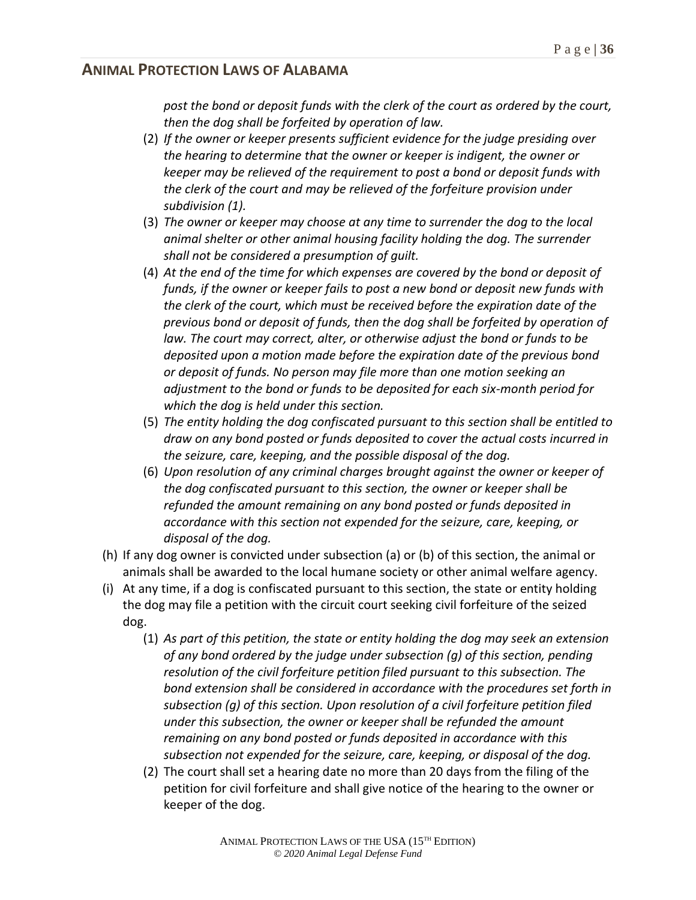*post the bond or deposit funds with the clerk of the court as ordered by the court, then the dog shall be forfeited by operation of law.*

- (2) *If the owner or keeper presents sufficient evidence for the judge presiding over the hearing to determine that the owner or keeper is indigent, the owner or keeper may be relieved of the requirement to post a bond or deposit funds with the clerk of the court and may be relieved of the forfeiture provision under subdivision (1).*
- (3) *The owner or keeper may choose at any time to surrender the dog to the local animal shelter or other animal housing facility holding the dog. The surrender shall not be considered a presumption of guilt.*
- (4) *At the end of the time for which expenses are covered by the bond or deposit of funds, if the owner or keeper fails to post a new bond or deposit new funds with the clerk of the court, which must be received before the expiration date of the previous bond or deposit of funds, then the dog shall be forfeited by operation of law. The court may correct, alter, or otherwise adjust the bond or funds to be deposited upon a motion made before the expiration date of the previous bond or deposit of funds. No person may file more than one motion seeking an adjustment to the bond or funds to be deposited for each six-month period for which the dog is held under this section.*
- (5) *The entity holding the dog confiscated pursuant to this section shall be entitled to draw on any bond posted or funds deposited to cover the actual costs incurred in the seizure, care, keeping, and the possible disposal of the dog.*
- (6) *Upon resolution of any criminal charges brought against the owner or keeper of the dog confiscated pursuant to this section, the owner or keeper shall be refunded the amount remaining on any bond posted or funds deposited in accordance with this section not expended for the seizure, care, keeping, or disposal of the dog.*
- (h) If any dog owner is convicted under subsection (a) or (b) of this section, the animal or animals shall be awarded to the local humane society or other animal welfare agency.
- (i) At any time, if a dog is confiscated pursuant to this section, the state or entity holding the dog may file a petition with the circuit court seeking civil forfeiture of the seized dog.
	- (1) *As part of this petition, the state or entity holding the dog may seek an extension of any bond ordered by the judge under subsection (g) of this section, pending resolution of the civil forfeiture petition filed pursuant to this subsection. The bond extension shall be considered in accordance with the procedures set forth in subsection (g) of this section. Upon resolution of a civil forfeiture petition filed under this subsection, the owner or keeper shall be refunded the amount remaining on any bond posted or funds deposited in accordance with this subsection not expended for the seizure, care, keeping, or disposal of the dog.*
	- (2) The court shall set a hearing date no more than 20 days from the filing of the petition for civil forfeiture and shall give notice of the hearing to the owner or keeper of the dog.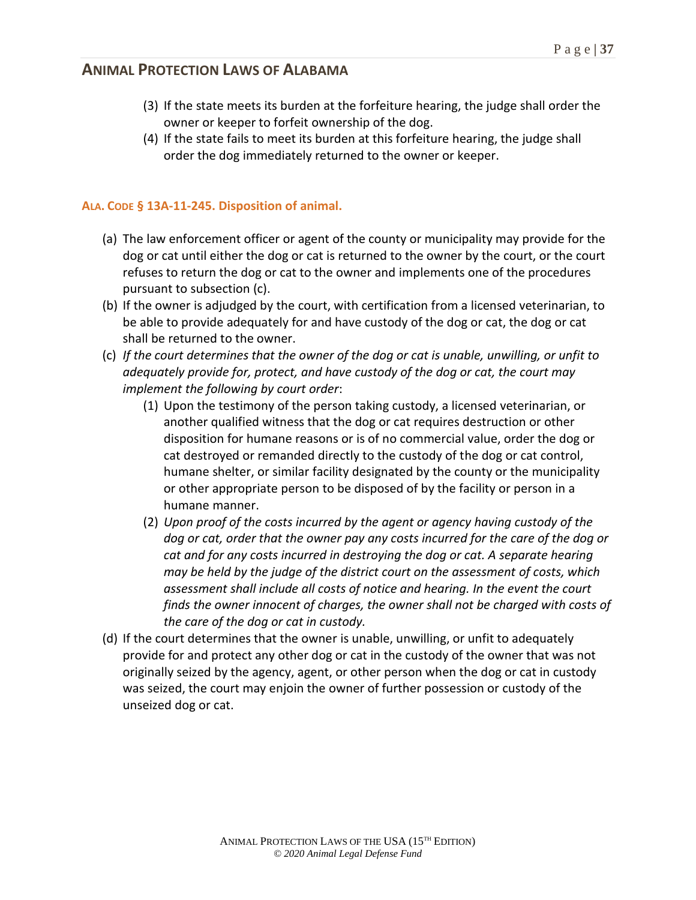- (3) If the state meets its burden at the forfeiture hearing, the judge shall order the owner or keeper to forfeit ownership of the dog.
- (4) If the state fails to meet its burden at this forfeiture hearing, the judge shall order the dog immediately returned to the owner or keeper.

### **ALA. CODE § 13A-11-245. Disposition of animal.**

- (a) The law enforcement officer or agent of the county or municipality may provide for the dog or cat until either the dog or cat is returned to the owner by the court, or the court refuses to return the dog or cat to the owner and implements one of the procedures pursuant to subsection (c).
- (b) If the owner is adjudged by the court, with certification from a licensed veterinarian, to be able to provide adequately for and have custody of the dog or cat, the dog or cat shall be returned to the owner.
- (c) *If the court determines that the owner of the dog or cat is unable, unwilling, or unfit to adequately provide for, protect, and have custody of the dog or cat, the court may implement the following by court order*:
	- (1) Upon the testimony of the person taking custody, a licensed veterinarian, or another qualified witness that the dog or cat requires destruction or other disposition for humane reasons or is of no commercial value, order the dog or cat destroyed or remanded directly to the custody of the dog or cat control, humane shelter, or similar facility designated by the county or the municipality or other appropriate person to be disposed of by the facility or person in a humane manner.
	- (2) *Upon proof of the costs incurred by the agent or agency having custody of the dog or cat, order that the owner pay any costs incurred for the care of the dog or cat and for any costs incurred in destroying the dog or cat. A separate hearing may be held by the judge of the district court on the assessment of costs, which assessment shall include all costs of notice and hearing. In the event the court finds the owner innocent of charges, the owner shall not be charged with costs of the care of the dog or cat in custody.*
- (d) If the court determines that the owner is unable, unwilling, or unfit to adequately provide for and protect any other dog or cat in the custody of the owner that was not originally seized by the agency, agent, or other person when the dog or cat in custody was seized, the court may enjoin the owner of further possession or custody of the unseized dog or cat.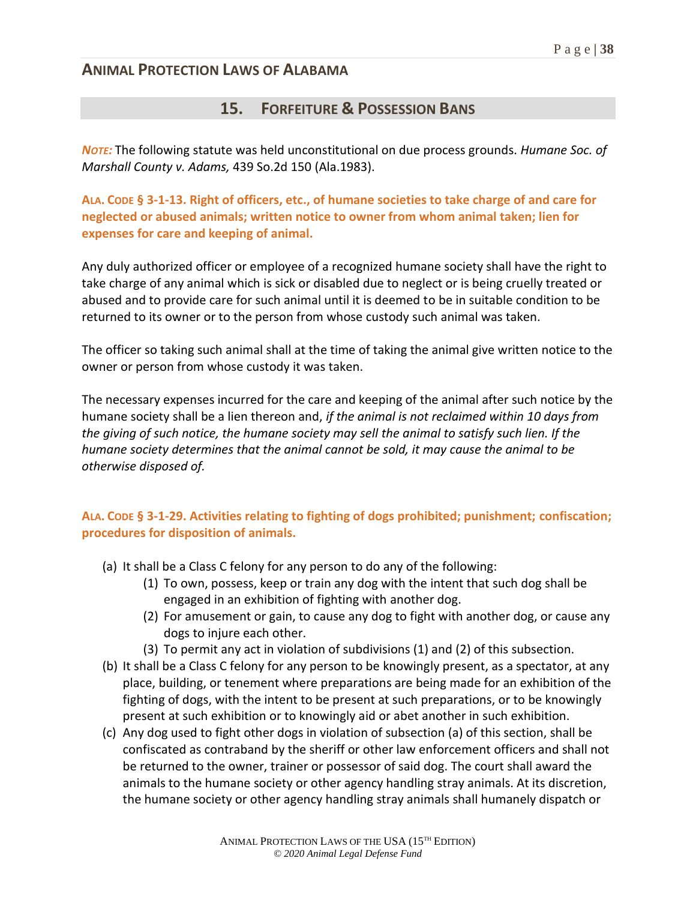## **15. FORFEITURE & POSSESSION BANS**

*NOTE:* The following statute was held unconstitutional on due process grounds. *Humane Soc. of Marshall County v. Adams,* 439 So.2d 150 (Ala.1983).

**ALA. CODE § 3-1-13. Right of officers, etc., of humane societies to take charge of and care for neglected or abused animals; written notice to owner from whom animal taken; lien for expenses for care and keeping of animal.**

Any duly authorized officer or employee of a recognized humane society shall have the right to take charge of any animal which is sick or disabled due to neglect or is being cruelly treated or abused and to provide care for such animal until it is deemed to be in suitable condition to be returned to its owner or to the person from whose custody such animal was taken.

The officer so taking such animal shall at the time of taking the animal give written notice to the owner or person from whose custody it was taken.

The necessary expenses incurred for the care and keeping of the animal after such notice by the humane society shall be a lien thereon and, *if the animal is not reclaimed within 10 days from the giving of such notice, the humane society may sell the animal to satisfy such lien. If the humane society determines that the animal cannot be sold, it may cause the animal to be otherwise disposed of.* 

**ALA. CODE § 3-1-29. Activities relating to fighting of dogs prohibited; punishment; confiscation; procedures for disposition of animals.**

- (a) It shall be a Class C felony for any person to do any of the following:
	- (1) To own, possess, keep or train any dog with the intent that such dog shall be engaged in an exhibition of fighting with another dog.
	- (2) For amusement or gain, to cause any dog to fight with another dog, or cause any dogs to injure each other.
	- (3) To permit any act in violation of subdivisions (1) and (2) of this subsection.
- (b) It shall be a Class C felony for any person to be knowingly present, as a spectator, at any place, building, or tenement where preparations are being made for an exhibition of the fighting of dogs, with the intent to be present at such preparations, or to be knowingly present at such exhibition or to knowingly aid or abet another in such exhibition.
- (c) Any dog used to fight other dogs in violation of subsection (a) of this section, shall be confiscated as contraband by the sheriff or other law enforcement officers and shall not be returned to the owner, trainer or possessor of said dog. The court shall award the animals to the humane society or other agency handling stray animals. At its discretion, the humane society or other agency handling stray animals shall humanely dispatch or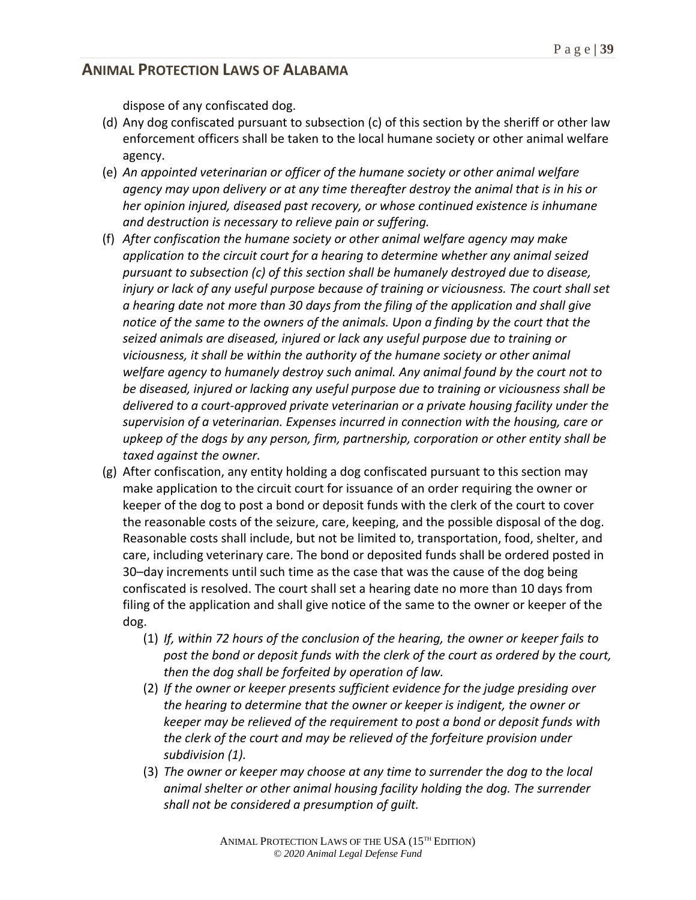dispose of any confiscated dog.

- (d) Any dog confiscated pursuant to subsection (c) of this section by the sheriff or other law enforcement officers shall be taken to the local humane society or other animal welfare agency.
- (e) *An appointed veterinarian or officer of the humane society or other animal welfare agency may upon delivery or at any time thereafter destroy the animal that is in his or her opinion injured, diseased past recovery, or whose continued existence is inhumane and destruction is necessary to relieve pain or suffering.*
- (f) *After confiscation the humane society or other animal welfare agency may make application to the circuit court for a hearing to determine whether any animal seized pursuant to subsection (c) of this section shall be humanely destroyed due to disease, injury or lack of any useful purpose because of training or viciousness. The court shall set a hearing date not more than 30 days from the filing of the application and shall give notice of the same to the owners of the animals. Upon a finding by the court that the seized animals are diseased, injured or lack any useful purpose due to training or viciousness, it shall be within the authority of the humane society or other animal welfare agency to humanely destroy such animal. Any animal found by the court not to be diseased, injured or lacking any useful purpose due to training or viciousness shall be delivered to a court-approved private veterinarian or a private housing facility under the supervision of a veterinarian. Expenses incurred in connection with the housing, care or upkeep of the dogs by any person, firm, partnership, corporation or other entity shall be taxed against the owner.*
- (g) After confiscation, any entity holding a dog confiscated pursuant to this section may make application to the circuit court for issuance of an order requiring the owner or keeper of the dog to post a bond or deposit funds with the clerk of the court to cover the reasonable costs of the seizure, care, keeping, and the possible disposal of the dog. Reasonable costs shall include, but not be limited to, transportation, food, shelter, and care, including veterinary care. The bond or deposited funds shall be ordered posted in 30–day increments until such time as the case that was the cause of the dog being confiscated is resolved. The court shall set a hearing date no more than 10 days from filing of the application and shall give notice of the same to the owner or keeper of the dog.
	- (1) *If, within 72 hours of the conclusion of the hearing, the owner or keeper fails to post the bond or deposit funds with the clerk of the court as ordered by the court, then the dog shall be forfeited by operation of law.*
	- (2) *If the owner or keeper presents sufficient evidence for the judge presiding over the hearing to determine that the owner or keeper is indigent, the owner or keeper may be relieved of the requirement to post a bond or deposit funds with the clerk of the court and may be relieved of the forfeiture provision under subdivision (1).*
	- (3) *The owner or keeper may choose at any time to surrender the dog to the local animal shelter or other animal housing facility holding the dog. The surrender shall not be considered a presumption of guilt.*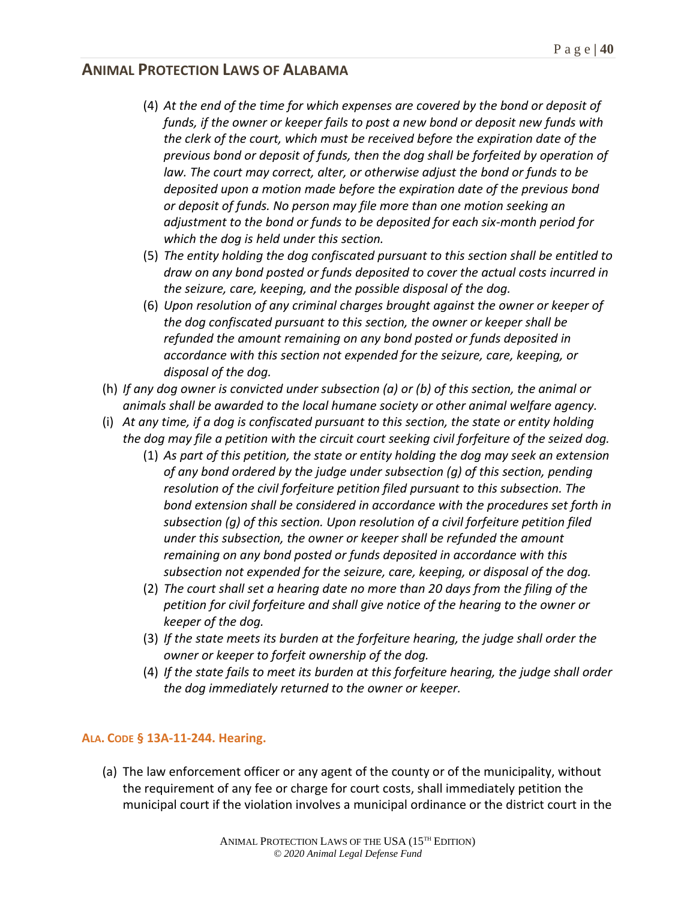- (4) *At the end of the time for which expenses are covered by the bond or deposit of funds, if the owner or keeper fails to post a new bond or deposit new funds with the clerk of the court, which must be received before the expiration date of the previous bond or deposit of funds, then the dog shall be forfeited by operation of law. The court may correct, alter, or otherwise adjust the bond or funds to be deposited upon a motion made before the expiration date of the previous bond or deposit of funds. No person may file more than one motion seeking an adjustment to the bond or funds to be deposited for each six-month period for which the dog is held under this section.*
- (5) *The entity holding the dog confiscated pursuant to this section shall be entitled to draw on any bond posted or funds deposited to cover the actual costs incurred in the seizure, care, keeping, and the possible disposal of the dog.*
- (6) *Upon resolution of any criminal charges brought against the owner or keeper of the dog confiscated pursuant to this section, the owner or keeper shall be refunded the amount remaining on any bond posted or funds deposited in accordance with this section not expended for the seizure, care, keeping, or disposal of the dog.*
- (h) *If any dog owner is convicted under subsection (a) or (b) of this section, the animal or animals shall be awarded to the local humane society or other animal welfare agency.*
- (i) *At any time, if a dog is confiscated pursuant to this section, the state or entity holding the dog may file a petition with the circuit court seeking civil forfeiture of the seized dog.*
	- (1) *As part of this petition, the state or entity holding the dog may seek an extension of any bond ordered by the judge under subsection (g) of this section, pending resolution of the civil forfeiture petition filed pursuant to this subsection. The bond extension shall be considered in accordance with the procedures set forth in subsection (g) of this section. Upon resolution of a civil forfeiture petition filed under this subsection, the owner or keeper shall be refunded the amount remaining on any bond posted or funds deposited in accordance with this subsection not expended for the seizure, care, keeping, or disposal of the dog.*
	- (2) *The court shall set a hearing date no more than 20 days from the filing of the petition for civil forfeiture and shall give notice of the hearing to the owner or keeper of the dog.*
	- (3) *If the state meets its burden at the forfeiture hearing, the judge shall order the owner or keeper to forfeit ownership of the dog.*
	- (4) *If the state fails to meet its burden at this forfeiture hearing, the judge shall order the dog immediately returned to the owner or keeper.*

#### **ALA. CODE § 13A-11-244. Hearing.**

(a) The law enforcement officer or any agent of the county or of the municipality, without the requirement of any fee or charge for court costs, shall immediately petition the municipal court if the violation involves a municipal ordinance or the district court in the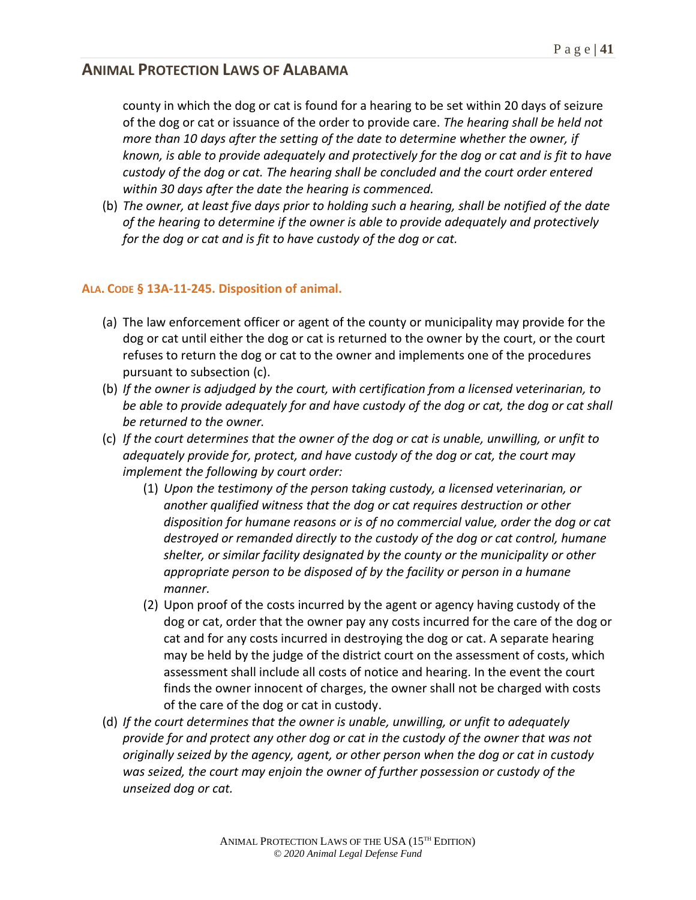county in which the dog or cat is found for a hearing to be set within 20 days of seizure of the dog or cat or issuance of the order to provide care. *The hearing shall be held not more than 10 days after the setting of the date to determine whether the owner, if known, is able to provide adequately and protectively for the dog or cat and is fit to have custody of the dog or cat. The hearing shall be concluded and the court order entered within 30 days after the date the hearing is commenced.*

(b) *The owner, at least five days prior to holding such a hearing, shall be notified of the date of the hearing to determine if the owner is able to provide adequately and protectively for the dog or cat and is fit to have custody of the dog or cat.*

#### **ALA. CODE § 13A-11-245. Disposition of animal.**

- (a) The law enforcement officer or agent of the county or municipality may provide for the dog or cat until either the dog or cat is returned to the owner by the court, or the court refuses to return the dog or cat to the owner and implements one of the procedures pursuant to subsection (c).
- (b) *If the owner is adjudged by the court, with certification from a licensed veterinarian, to be able to provide adequately for and have custody of the dog or cat, the dog or cat shall be returned to the owner.*
- (c) *If the court determines that the owner of the dog or cat is unable, unwilling, or unfit to adequately provide for, protect, and have custody of the dog or cat, the court may implement the following by court order:*
	- (1) *Upon the testimony of the person taking custody, a licensed veterinarian, or another qualified witness that the dog or cat requires destruction or other disposition for humane reasons or is of no commercial value, order the dog or cat destroyed or remanded directly to the custody of the dog or cat control, humane shelter, or similar facility designated by the county or the municipality or other appropriate person to be disposed of by the facility or person in a humane manner.*
	- (2) Upon proof of the costs incurred by the agent or agency having custody of the dog or cat, order that the owner pay any costs incurred for the care of the dog or cat and for any costs incurred in destroying the dog or cat. A separate hearing may be held by the judge of the district court on the assessment of costs, which assessment shall include all costs of notice and hearing. In the event the court finds the owner innocent of charges, the owner shall not be charged with costs of the care of the dog or cat in custody.
- (d) *If the court determines that the owner is unable, unwilling, or unfit to adequately provide for and protect any other dog or cat in the custody of the owner that was not originally seized by the agency, agent, or other person when the dog or cat in custody was seized, the court may enjoin the owner of further possession or custody of the unseized dog or cat.*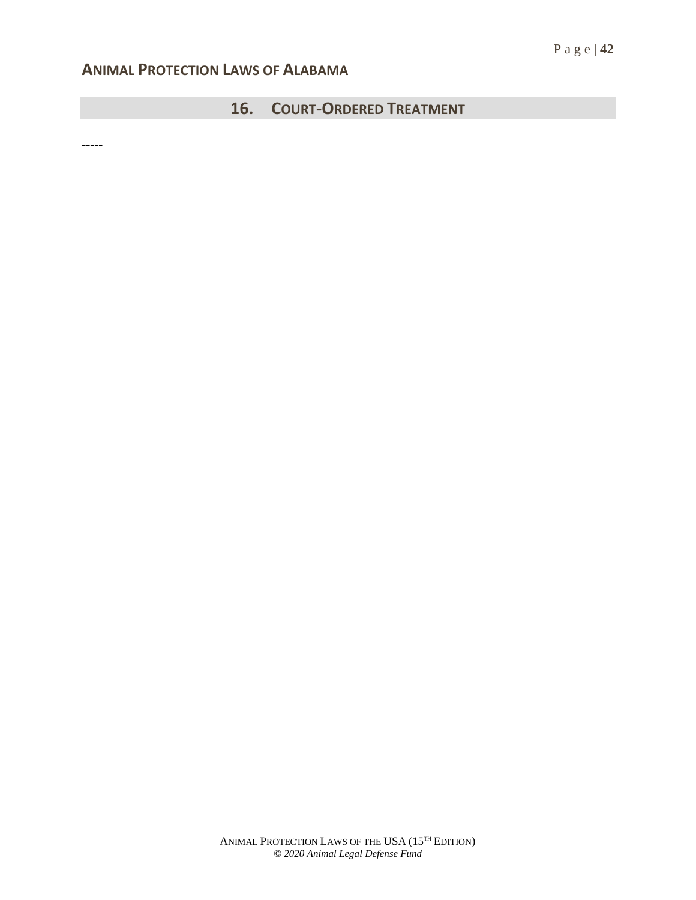## **16. COURT-ORDERED TREATMENT**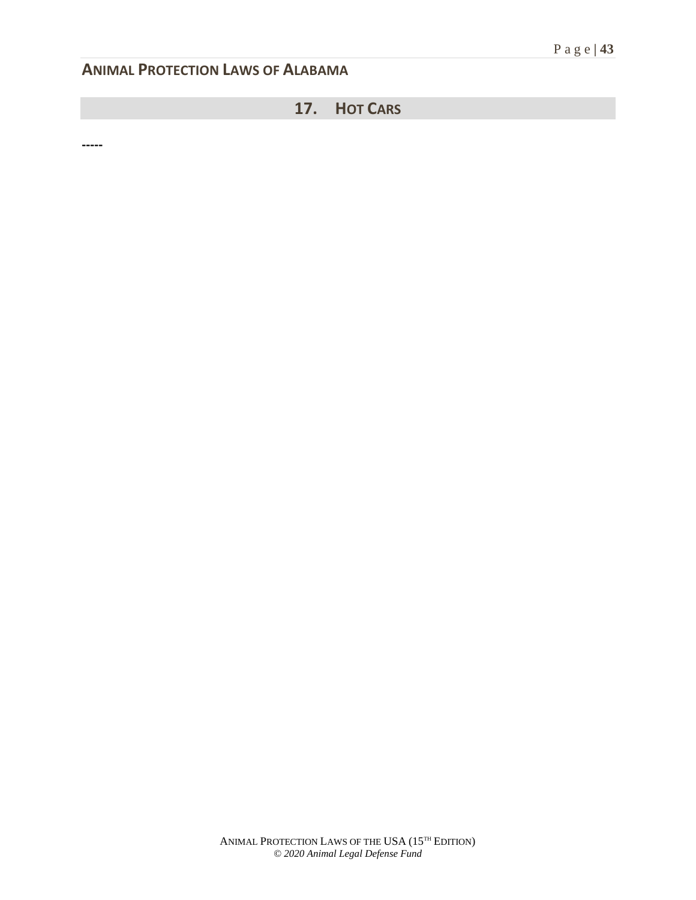## **17. HOT CARS**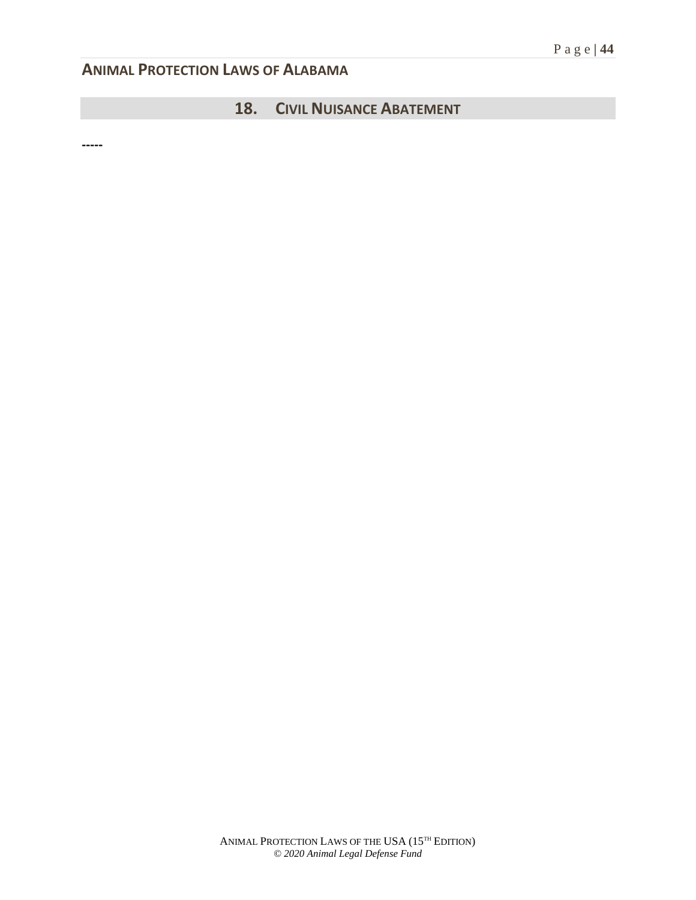## **18. CIVIL NUISANCE ABATEMENT**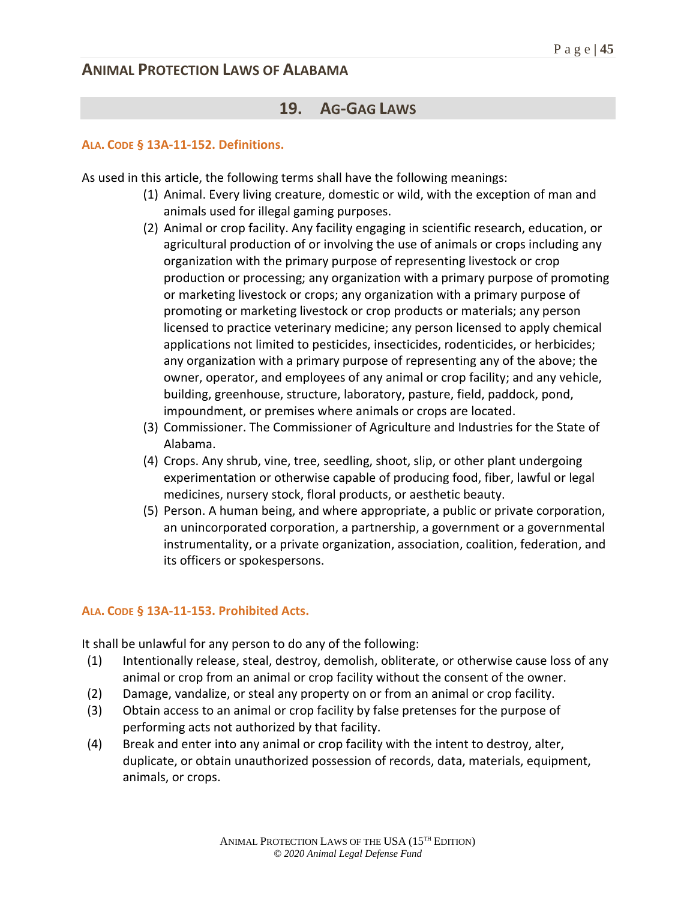## **19. AG-GAG LAWS**

#### **ALA. CODE § 13A-11-152. Definitions.**

As used in this article, the following terms shall have the following meanings:

- (1) Animal. Every living creature, domestic or wild, with the exception of man and animals used for illegal gaming purposes.
- (2) Animal or crop facility. Any facility engaging in scientific research, education, or agricultural production of or involving the use of animals or crops including any organization with the primary purpose of representing livestock or crop production or processing; any organization with a primary purpose of promoting or marketing livestock or crops; any organization with a primary purpose of promoting or marketing livestock or crop products or materials; any person licensed to practice veterinary medicine; any person licensed to apply chemical applications not limited to pesticides, insecticides, rodenticides, or herbicides; any organization with a primary purpose of representing any of the above; the owner, operator, and employees of any animal or crop facility; and any vehicle, building, greenhouse, structure, laboratory, pasture, field, paddock, pond, impoundment, or premises where animals or crops are located.
- (3) Commissioner. The Commissioner of Agriculture and Industries for the State of Alabama.
- (4) Crops. Any shrub, vine, tree, seedling, shoot, slip, or other plant undergoing experimentation or otherwise capable of producing food, fiber, lawful or legal medicines, nursery stock, floral products, or aesthetic beauty.
- (5) Person. A human being, and where appropriate, a public or private corporation, an unincorporated corporation, a partnership, a government or a governmental instrumentality, or a private organization, association, coalition, federation, and its officers or spokespersons.

#### **ALA. CODE § 13A-11-153. Prohibited Acts.**

It shall be unlawful for any person to do any of the following:

- (1) Intentionally release, steal, destroy, demolish, obliterate, or otherwise cause loss of any animal or crop from an animal or crop facility without the consent of the owner.
- (2) Damage, vandalize, or steal any property on or from an animal or crop facility.
- (3) Obtain access to an animal or crop facility by false pretenses for the purpose of performing acts not authorized by that facility.
- (4) Break and enter into any animal or crop facility with the intent to destroy, alter, duplicate, or obtain unauthorized possession of records, data, materials, equipment, animals, or crops.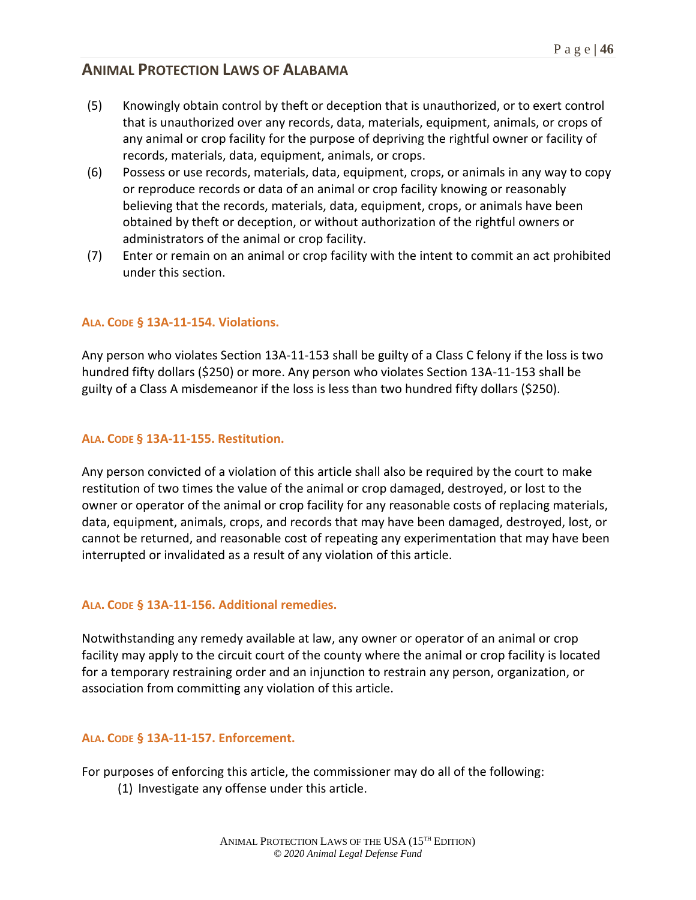- (5) Knowingly obtain control by theft or deception that is unauthorized, or to exert control that is unauthorized over any records, data, materials, equipment, animals, or crops of any animal or crop facility for the purpose of depriving the rightful owner or facility of records, materials, data, equipment, animals, or crops.
- (6) Possess or use records, materials, data, equipment, crops, or animals in any way to copy or reproduce records or data of an animal or crop facility knowing or reasonably believing that the records, materials, data, equipment, crops, or animals have been obtained by theft or deception, or without authorization of the rightful owners or administrators of the animal or crop facility.
- (7) Enter or remain on an animal or crop facility with the intent to commit an act prohibited under this section.

#### **ALA. CODE § 13A-11-154. Violations.**

Any person who violates Section 13A-11-153 shall be guilty of a Class C felony if the loss is two hundred fifty dollars (\$250) or more. Any person who violates Section 13A-11-153 shall be guilty of a Class A misdemeanor if the loss is less than two hundred fifty dollars (\$250).

#### **ALA. CODE § 13A-11-155. Restitution.**

Any person convicted of a violation of this article shall also be required by the court to make restitution of two times the value of the animal or crop damaged, destroyed, or lost to the owner or operator of the animal or crop facility for any reasonable costs of replacing materials, data, equipment, animals, crops, and records that may have been damaged, destroyed, lost, or cannot be returned, and reasonable cost of repeating any experimentation that may have been interrupted or invalidated as a result of any violation of this article.

#### **ALA. CODE § 13A-11-156. Additional remedies.**

Notwithstanding any remedy available at law, any owner or operator of an animal or crop facility may apply to the circuit court of the county where the animal or crop facility is located for a temporary restraining order and an injunction to restrain any person, organization, or association from committing any violation of this article.

#### **ALA. CODE § 13A-11-157. Enforcement.**

For purposes of enforcing this article, the commissioner may do all of the following:

(1) Investigate any offense under this article.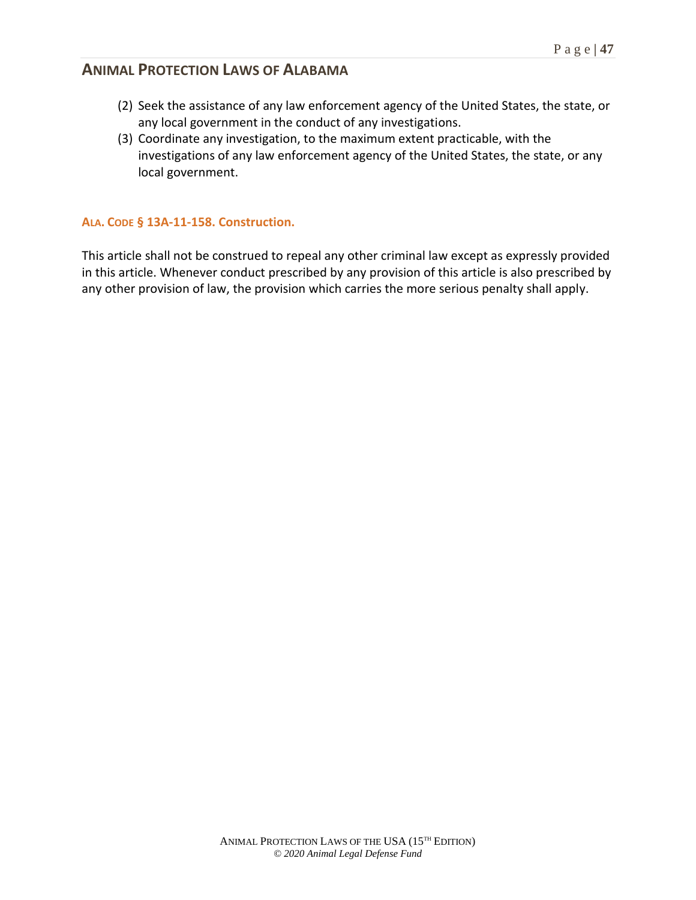- (2) Seek the assistance of any law enforcement agency of the United States, the state, or any local government in the conduct of any investigations.
- (3) Coordinate any investigation, to the maximum extent practicable, with the investigations of any law enforcement agency of the United States, the state, or any local government.

#### **ALA. CODE § 13A-11-158. Construction.**

This article shall not be construed to repeal any other criminal law except as expressly provided in this article. Whenever conduct prescribed by any provision of this article is also prescribed by any other provision of law, the provision which carries the more serious penalty shall apply.